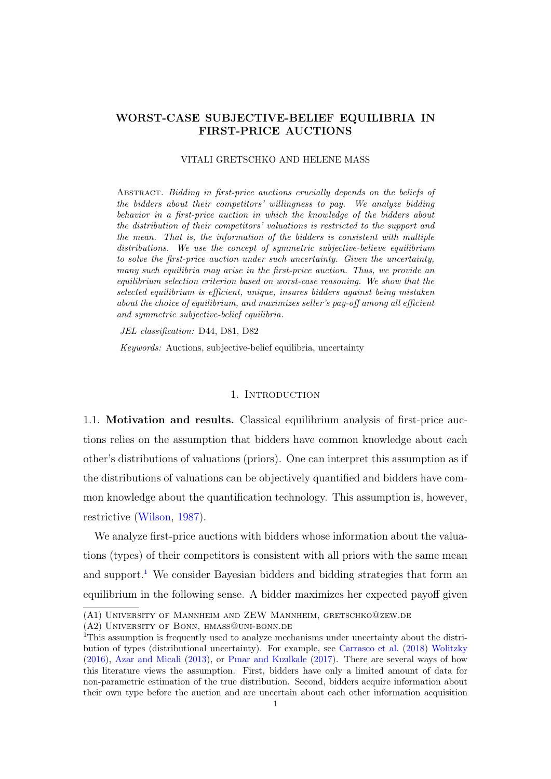# WORST-CASE SUBJECTIVE-BELIEF EQUILIBRIA IN FIRST-PRICE AUCTIONS

#### VITALI GRETSCHKO AND HELENE MASS

Abstract. Bidding in first-price auctions crucially depends on the beliefs of the bidders about their competitors' willingness to pay. We analyze bidding behavior in a first-price auction in which the knowledge of the bidders about the distribution of their competitors' valuations is restricted to the support and the mean. That is, the information of the bidders is consistent with multiple distributions. We use the concept of symmetric subjective-believe equilibrium to solve the first-price auction under such uncertainty. Given the uncertainty, many such equilibria may arise in the first-price auction. Thus, we provide an equilibrium selection criterion based on worst-case reasoning. We show that the selected equilibrium is efficient, unique, insures bidders against being mistaken about the choice of equilibrium, and maximizes seller's pay-off among all efficient and symmetric subjective-belief equilibria.

JEL classification: D44, D81, D82

Keywords: Auctions, subjective-belief equilibria, uncertainty

### 1. INTRODUCTION

1.1. Motivation and results. Classical equilibrium analysis of first-price auctions relies on the assumption that bidders have common knowledge about each other's distributions of valuations (priors). One can interpret this assumption as if the distributions of valuations can be objectively quantified and bidders have common knowledge about the quantification technology. This assumption is, however, restrictive [\(Wilson,](#page-22-0) [1987\)](#page-22-0).

We analyze first-price auctions with bidders whose information about the valuations (types) of their competitors is consistent with all priors with the same mean and support.<sup>[1](#page-0-0)</sup> We consider Bayesian bidders and bidding strategies that form an equilibrium in the following sense. A bidder maximizes her expected payoff given

<sup>(</sup>A1) University of Mannheim and ZEW Mannheim, gretschko@zew.de

<sup>(</sup>A2) University of Bonn, hmass@uni-bonn.de

<span id="page-0-0"></span><sup>&</sup>lt;sup>1</sup>This assumption is frequently used to analyze mechanisms under uncertainty about the distribution of types (distributional uncertainty). For example, see [Carrasco et al.](#page-21-0) [\(2018\)](#page-21-0) [Wolitzky](#page-22-1) [\(2016\)](#page-22-1), [Azar and Micali](#page-20-0) [\(2013\)](#page-20-0), or [Pınar and Kızılkale](#page-21-1) [\(2017\)](#page-21-1). There are several ways of how this literature views the assumption. First, bidders have only a limited amount of data for non-parametric estimation of the true distribution. Second, bidders acquire information about their own type before the auction and are uncertain about each other information acquisition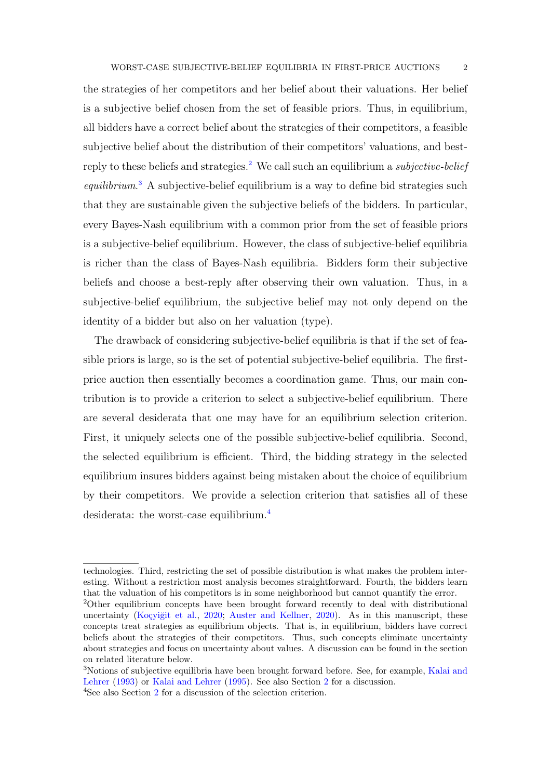the strategies of her competitors and her belief about their valuations. Her belief is a subjective belief chosen from the set of feasible priors. Thus, in equilibrium, all bidders have a correct belief about the strategies of their competitors, a feasible subjective belief about the distribution of their competitors' valuations, and best-reply to these beliefs and strategies.<sup>[2](#page-1-0)</sup> We call such an equilibrium a *subjective-belief* equilibrium.<sup>[3](#page-1-1)</sup> A subjective-belief equilibrium is a way to define bid strategies such that they are sustainable given the subjective beliefs of the bidders. In particular, every Bayes-Nash equilibrium with a common prior from the set of feasible priors is a subjective-belief equilibrium. However, the class of subjective-belief equilibria is richer than the class of Bayes-Nash equilibria. Bidders form their subjective beliefs and choose a best-reply after observing their own valuation. Thus, in a subjective-belief equilibrium, the subjective belief may not only depend on the identity of a bidder but also on her valuation (type).

The drawback of considering subjective-belief equilibria is that if the set of feasible priors is large, so is the set of potential subjective-belief equilibria. The firstprice auction then essentially becomes a coordination game. Thus, our main contribution is to provide a criterion to select a subjective-belief equilibrium. There are several desiderata that one may have for an equilibrium selection criterion. First, it uniquely selects one of the possible subjective-belief equilibria. Second, the selected equilibrium is efficient. Third, the bidding strategy in the selected equilibrium insures bidders against being mistaken about the choice of equilibrium by their competitors. We provide a selection criterion that satisfies all of these desiderata: the worst-case equilibrium.<sup>[4](#page-1-2)</sup>

technologies. Third, restricting the set of possible distribution is what makes the problem interesting. Without a restriction most analysis becomes straightforward. Fourth, the bidders learn that the valuation of his competitors is in some neighborhood but cannot quantify the error.

<span id="page-1-0"></span><sup>&</sup>lt;sup>2</sup>Other equilibrium concepts have been brought forward recently to deal with distributional uncertainty [\(Koçyiğit et al.,](#page-21-2) [2020;](#page-21-2) [Auster and Kellner,](#page-20-1) [2020\)](#page-20-1). As in this manuscript, these concepts treat strategies as equilibrium objects. That is, in equilibrium, bidders have correct beliefs about the strategies of their competitors. Thus, such concepts eliminate uncertainty about strategies and focus on uncertainty about values. A discussion can be found in the section on related literature below.

<span id="page-1-1"></span><sup>3</sup>Notions of subjective equilibria have been brought forward before. See, for example, [Kalai and](#page-21-3) [Lehrer](#page-21-3) [\(1993\)](#page-21-3) or [Kalai and Lehrer](#page-21-4) [\(1995\)](#page-21-4). See also Section [2](#page-6-0) for a discussion.

<span id="page-1-2"></span><sup>4</sup>See also Section [2](#page-6-0) for a discussion of the selection criterion.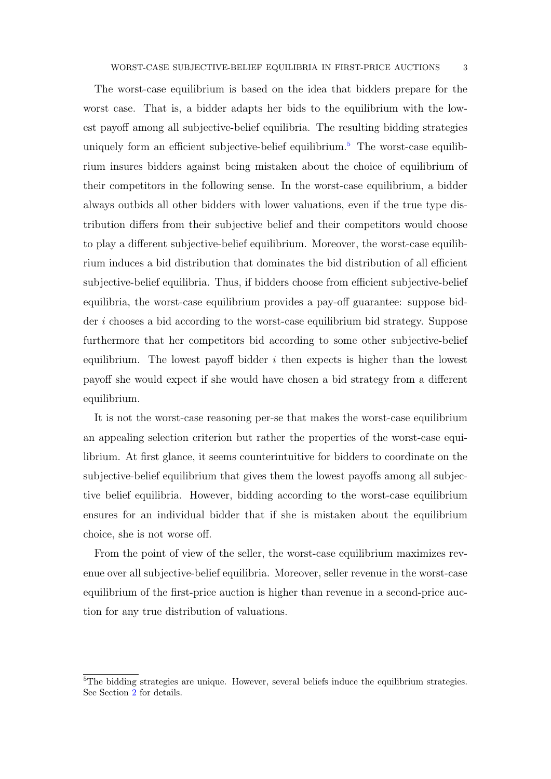The worst-case equilibrium is based on the idea that bidders prepare for the worst case. That is, a bidder adapts her bids to the equilibrium with the lowest payoff among all subjective-belief equilibria. The resulting bidding strategies uniquely form an efficient subjective-belief equilibrium.<sup>[5](#page-2-0)</sup> The worst-case equilibrium insures bidders against being mistaken about the choice of equilibrium of their competitors in the following sense. In the worst-case equilibrium, a bidder always outbids all other bidders with lower valuations, even if the true type distribution differs from their subjective belief and their competitors would choose to play a different subjective-belief equilibrium. Moreover, the worst-case equilibrium induces a bid distribution that dominates the bid distribution of all efficient subjective-belief equilibria. Thus, if bidders choose from efficient subjective-belief equilibria, the worst-case equilibrium provides a pay-off guarantee: suppose bidder i chooses a bid according to the worst-case equilibrium bid strategy. Suppose furthermore that her competitors bid according to some other subjective-belief equilibrium. The lowest payoff bidder  $i$  then expects is higher than the lowest payoff she would expect if she would have chosen a bid strategy from a different equilibrium.

It is not the worst-case reasoning per-se that makes the worst-case equilibrium an appealing selection criterion but rather the properties of the worst-case equilibrium. At first glance, it seems counterintuitive for bidders to coordinate on the subjective-belief equilibrium that gives them the lowest payoffs among all subjective belief equilibria. However, bidding according to the worst-case equilibrium ensures for an individual bidder that if she is mistaken about the equilibrium choice, she is not worse off.

From the point of view of the seller, the worst-case equilibrium maximizes revenue over all subjective-belief equilibria. Moreover, seller revenue in the worst-case equilibrium of the first-price auction is higher than revenue in a second-price auction for any true distribution of valuations.

<span id="page-2-0"></span> ${}^{5}$ The bidding strategies are unique. However, several beliefs induce the equilibrium strategies. See Section [2](#page-6-0) for details.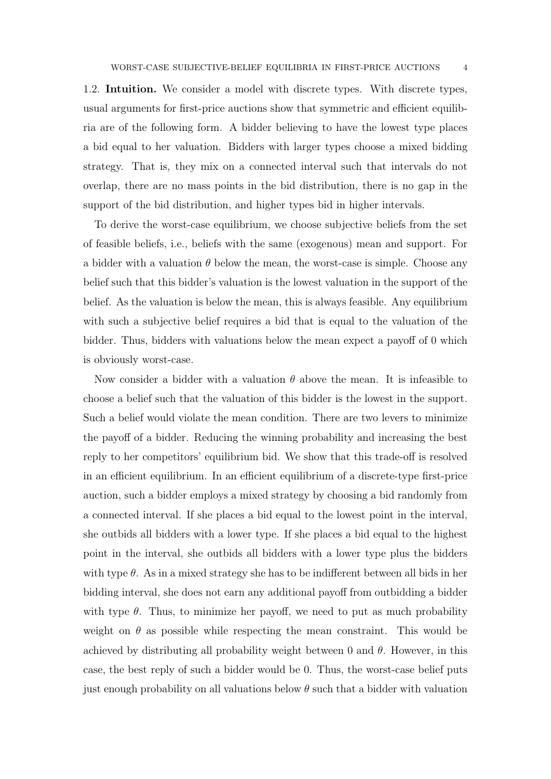1.2. Intuition. We consider a model with discrete types. With discrete types, usual arguments for first-price auctions show that symmetric and efficient equilibria are of the following form. A bidder believing to have the lowest type places a bid equal to her valuation. Bidders with larger types choose a mixed bidding strategy. That is, they mix on a connected interval such that intervals do not overlap, there are no mass points in the bid distribution, there is no gap in the support of the bid distribution, and higher types bid in higher intervals.

To derive the worst-case equilibrium, we choose subjective beliefs from the set of feasible beliefs, i.e., beliefs with the same (exogenous) mean and support. For a bidder with a valuation  $\theta$  below the mean, the worst-case is simple. Choose any belief such that this bidder's valuation is the lowest valuation in the support of the belief. As the valuation is below the mean, this is always feasible. Any equilibrium with such a subjective belief requires a bid that is equal to the valuation of the bidder. Thus, bidders with valuations below the mean expect a payoff of 0 which is obviously worst-case.

Now consider a bidder with a valuation  $\theta$  above the mean. It is infeasible to choose a belief such that the valuation of this bidder is the lowest in the support. Such a belief would violate the mean condition. There are two levers to minimize the payoff of a bidder. Reducing the winning probability and increasing the best reply to her competitors' equilibrium bid. We show that this trade-off is resolved in an efficient equilibrium. In an efficient equilibrium of a discrete-type first-price auction, such a bidder employs a mixed strategy by choosing a bid randomly from a connected interval. If she places a bid equal to the lowest point in the interval, she outbids all bidders with a lower type. If she places a bid equal to the highest point in the interval, she outbids all bidders with a lower type plus the bidders with type  $\theta$ . As in a mixed strategy she has to be indifferent between all bids in her bidding interval, she does not earn any additional payoff from outbidding a bidder with type  $\theta$ . Thus, to minimize her payoff, we need to put as much probability weight on  $\theta$  as possible while respecting the mean constraint. This would be achieved by distributing all probability weight between 0 and  $\theta$ . However, in this case, the best reply of such a bidder would be 0. Thus, the worst-case belief puts just enough probability on all valuations below  $\theta$  such that a bidder with valuation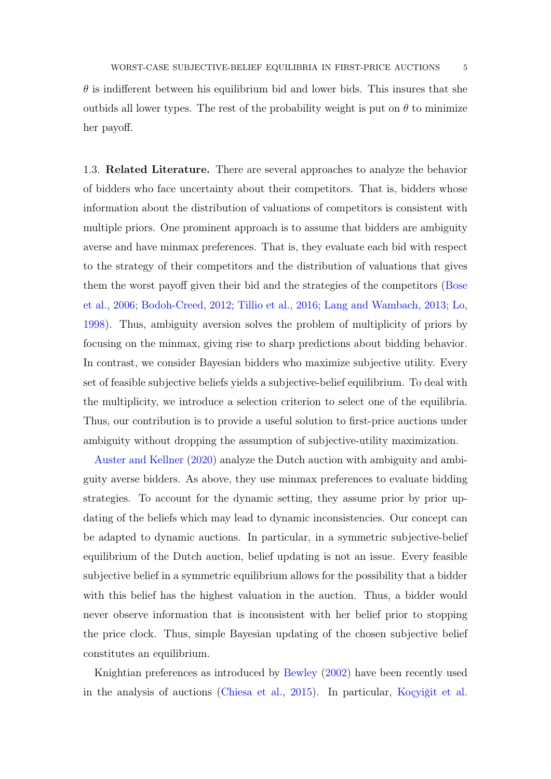$\theta$  is indifferent between his equilibrium bid and lower bids. This insures that she outbids all lower types. The rest of the probability weight is put on  $\theta$  to minimize her payoff.

1.3. Related Literature. There are several approaches to analyze the behavior of bidders who face uncertainty about their competitors. That is, bidders whose information about the distribution of valuations of competitors is consistent with multiple priors. One prominent approach is to assume that bidders are ambiguity averse and have minmax preferences. That is, they evaluate each bid with respect to the strategy of their competitors and the distribution of valuations that gives them the worst payoff given their bid and the strategies of the competitors [\(Bose](#page-21-5) [et al.,](#page-21-5) [2006;](#page-21-5) [Bodoh-Creed,](#page-20-2) [2012;](#page-20-2) [Tillio et al.,](#page-22-2) [2016;](#page-22-2) [Lang and Wambach,](#page-21-6) [2013;](#page-21-6) [Lo,](#page-21-7) [1998\)](#page-21-7). Thus, ambiguity aversion solves the problem of multiplicity of priors by focusing on the minmax, giving rise to sharp predictions about bidding behavior. In contrast, we consider Bayesian bidders who maximize subjective utility. Every set of feasible subjective beliefs yields a subjective-belief equilibrium. To deal with the multiplicity, we introduce a selection criterion to select one of the equilibria. Thus, our contribution is to provide a useful solution to first-price auctions under ambiguity without dropping the assumption of subjective-utility maximization.

[Auster and Kellner](#page-20-1) [\(2020\)](#page-20-1) analyze the Dutch auction with ambiguity and ambiguity averse bidders. As above, they use minmax preferences to evaluate bidding strategies. To account for the dynamic setting, they assume prior by prior updating of the beliefs which may lead to dynamic inconsistencies. Our concept can be adapted to dynamic auctions. In particular, in a symmetric subjective-belief equilibrium of the Dutch auction, belief updating is not an issue. Every feasible subjective belief in a symmetric equilibrium allows for the possibility that a bidder with this belief has the highest valuation in the auction. Thus, a bidder would never observe information that is inconsistent with her belief prior to stopping the price clock. Thus, simple Bayesian updating of the chosen subjective belief constitutes an equilibrium.

Knightian preferences as introduced by [Bewley](#page-20-3) [\(2002\)](#page-20-3) have been recently used in the analysis of auctions [\(Chiesa et al.,](#page-21-8) [2015\)](#page-21-8). In particular, [Koçyiğit et al.](#page-21-2)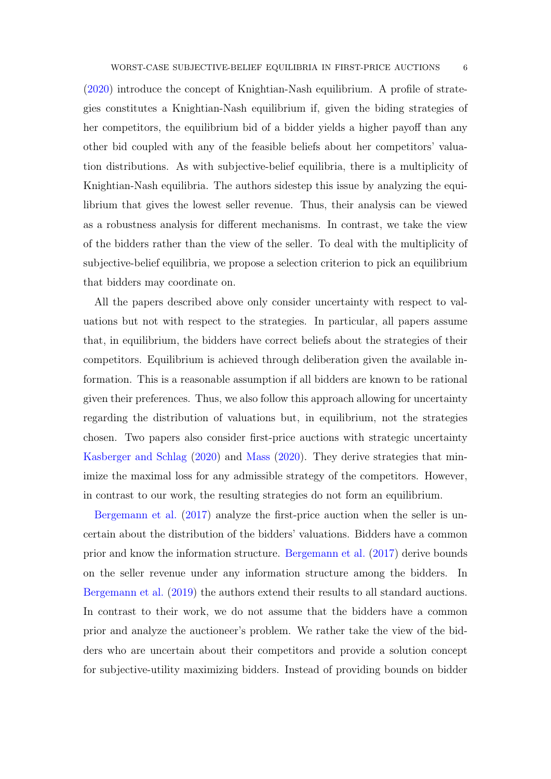[\(2020\)](#page-21-2) introduce the concept of Knightian-Nash equilibrium. A profile of strategies constitutes a Knightian-Nash equilibrium if, given the biding strategies of her competitors, the equilibrium bid of a bidder yields a higher payoff than any other bid coupled with any of the feasible beliefs about her competitors' valuation distributions. As with subjective-belief equilibria, there is a multiplicity of Knightian-Nash equilibria. The authors sidestep this issue by analyzing the equilibrium that gives the lowest seller revenue. Thus, their analysis can be viewed as a robustness analysis for different mechanisms. In contrast, we take the view of the bidders rather than the view of the seller. To deal with the multiplicity of subjective-belief equilibria, we propose a selection criterion to pick an equilibrium that bidders may coordinate on.

All the papers described above only consider uncertainty with respect to valuations but not with respect to the strategies. In particular, all papers assume that, in equilibrium, the bidders have correct beliefs about the strategies of their competitors. Equilibrium is achieved through deliberation given the available information. This is a reasonable assumption if all bidders are known to be rational given their preferences. Thus, we also follow this approach allowing for uncertainty regarding the distribution of valuations but, in equilibrium, not the strategies chosen. Two papers also consider first-price auctions with strategic uncertainty [Kasberger and Schlag](#page-21-9) [\(2020\)](#page-21-9) and [Mass](#page-21-10) [\(2020\)](#page-21-10). They derive strategies that minimize the maximal loss for any admissible strategy of the competitors. However, in contrast to our work, the resulting strategies do not form an equilibrium.

[Bergemann et al.](#page-20-4) [\(2017\)](#page-20-4) analyze the first-price auction when the seller is uncertain about the distribution of the bidders' valuations. Bidders have a common prior and know the information structure. [Bergemann et al.](#page-20-4) [\(2017\)](#page-20-4) derive bounds on the seller revenue under any information structure among the bidders. In [Bergemann et al.](#page-20-5) [\(2019\)](#page-20-5) the authors extend their results to all standard auctions. In contrast to their work, we do not assume that the bidders have a common prior and analyze the auctioneer's problem. We rather take the view of the bidders who are uncertain about their competitors and provide a solution concept for subjective-utility maximizing bidders. Instead of providing bounds on bidder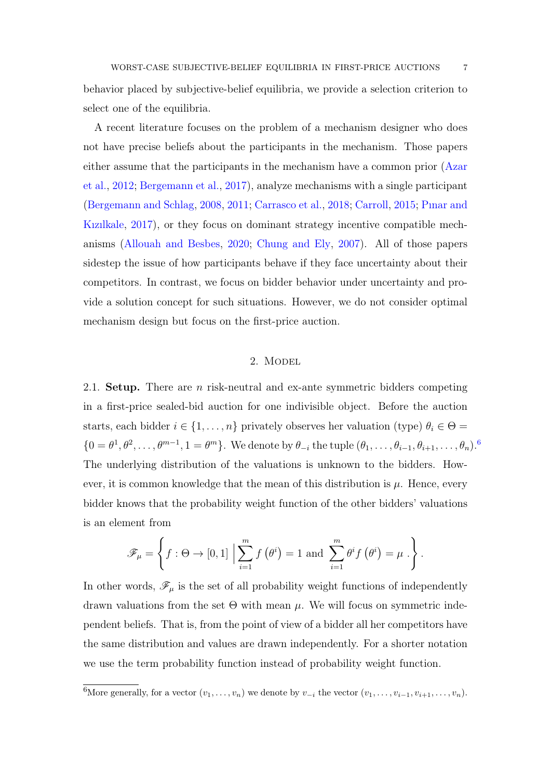behavior placed by subjective-belief equilibria, we provide a selection criterion to select one of the equilibria.

A recent literature focuses on the problem of a mechanism designer who does not have precise beliefs about the participants in the mechanism. Those papers either assume that the participants in the mechanism have a common prior [\(Azar](#page-20-6) [et al.,](#page-20-6) [2012;](#page-20-6) [Bergemann et al.,](#page-20-4) [2017\)](#page-20-4), analyze mechanisms with a single participant [\(Bergemann and Schlag,](#page-20-7) [2008,](#page-20-7) [2011;](#page-20-8) [Carrasco et al.,](#page-21-0) [2018;](#page-21-0) [Carroll,](#page-21-11) [2015;](#page-21-11) [Pınar and](#page-21-1) [Kızılkale,](#page-21-1) [2017\)](#page-21-1), or they focus on dominant strategy incentive compatible mechanisms [\(Allouah and Besbes,](#page-20-9) [2020;](#page-20-9) [Chung and Ely,](#page-21-12) [2007\)](#page-21-12). All of those papers sidestep the issue of how participants behave if they face uncertainty about their competitors. In contrast, we focus on bidder behavior under uncertainty and provide a solution concept for such situations. However, we do not consider optimal mechanism design but focus on the first-price auction.

# 2. Model

<span id="page-6-0"></span>2.1. **Setup.** There are *n* risk-neutral and ex-ante symmetric bidders competing in a first-price sealed-bid auction for one indivisible object. Before the auction starts, each bidder  $i \in \{1, \ldots, n\}$  privately observes her valuation (type)  $\theta_i \in \Theta =$  $\{0 = \theta^1, \theta^2, \dots, \theta^{m-1}, 1 = \theta^m\}.$  We denote by  $\theta_{-i}$  the tuple  $(\theta_1, \dots, \theta_{i-1}, \theta_{i+1}, \dots, \theta_n).$ <sup>[6](#page-6-1)</sup> The underlying distribution of the valuations is unknown to the bidders. However, it is common knowledge that the mean of this distribution is  $\mu$ . Hence, every bidder knows that the probability weight function of the other bidders' valuations is an element from

$$
\mathscr{F}_{\mu} = \left\{ f : \Theta \to [0,1] \; \Big| \sum_{i=1}^{m} f(\theta^{i}) = 1 \text{ and } \sum_{i=1}^{m} \theta^{i} f(\theta^{i}) = \mu \; . \right\}.
$$

In other words,  $\mathscr{F}_{\mu}$  is the set of all probability weight functions of independently drawn valuations from the set  $\Theta$  with mean  $\mu$ . We will focus on symmetric independent beliefs. That is, from the point of view of a bidder all her competitors have the same distribution and values are drawn independently. For a shorter notation we use the term probability function instead of probability weight function.

<span id="page-6-1"></span><sup>6</sup>More generally, for a vector  $(v_1, \ldots, v_n)$  we denote by  $v_{-i}$  the vector  $(v_1, \ldots, v_{i-1}, v_{i+1}, \ldots, v_n)$ .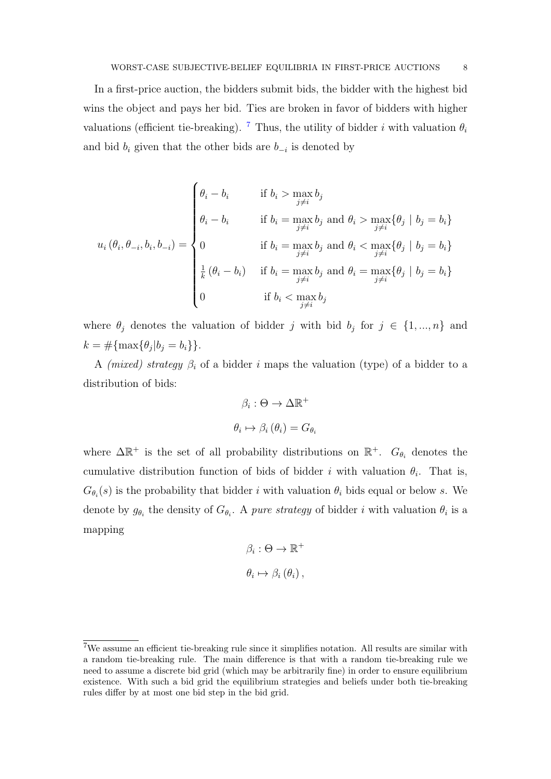In a first-price auction, the bidders submit bids, the bidder with the highest bid wins the object and pays her bid. Ties are broken in favor of bidders with higher valuations (efficient tie-breaking). <sup>[7](#page-7-0)</sup> Thus, the utility of bidder i with valuation  $\theta_i$ and bid  $b_i$  given that the other bids are  $b_{-i}$  is denoted by

$$
u_i(\theta_i, \theta_{-i}, b_i, b_{-i}) = \begin{cases} \theta_i - b_i & \text{if } b_i > \max_{j \neq i} b_j \\ \theta_i - b_i & \text{if } b_i = \max_{j \neq i} b_j \text{ and } \theta_i > \max_{j \neq i} \{\theta_j \mid b_j = b_i\} \\ 0 & \text{if } b_i = \max_{j \neq i} b_j \text{ and } \theta_i < \max_{j \neq i} \{\theta_j \mid b_j = b_i\} \\ \frac{1}{k} (\theta_i - b_i) & \text{if } b_i = \max_{j \neq i} b_j \text{ and } \theta_i = \max_{j \neq i} \{\theta_j \mid b_j = b_i\} \\ 0 & \text{if } b_i < \max_{j \neq i} b_j \end{cases}
$$

where  $\theta_j$  denotes the valuation of bidder j with bid  $b_j$  for  $j \in \{1, ..., n\}$  and  $k = #\{\max\{\theta_j | b_j = b_i\}\}.$ 

A (mixed) strategy  $\beta_i$  of a bidder i maps the valuation (type) of a bidder to a distribution of bids:

$$
\beta_i : \Theta \to \Delta \mathbb{R}^+
$$

$$
\theta_i \mapsto \beta_i (\theta_i) = G_{\theta_i}
$$

where  $\Delta \mathbb{R}^+$  is the set of all probability distributions on  $\mathbb{R}^+$ .  $G_{\theta_i}$  denotes the cumulative distribution function of bids of bidder i with valuation  $\theta_i$ . That is,  $G_{\theta_i}(s)$  is the probability that bidder i with valuation  $\theta_i$  bids equal or below s. We denote by  $g_{\theta_i}$  the density of  $G_{\theta_i}$ . A pure strategy of bidder i with valuation  $\theta_i$  is a mapping

$$
\beta_i : \Theta \to \mathbb{R}^+
$$

$$
\theta_i \mapsto \beta_i (\theta_i),
$$

<span id="page-7-0"></span><sup>7</sup>We assume an efficient tie-breaking rule since it simplifies notation. All results are similar with a random tie-breaking rule. The main difference is that with a random tie-breaking rule we need to assume a discrete bid grid (which may be arbitrarily fine) in order to ensure equilibrium existence. With such a bid grid the equilibrium strategies and beliefs under both tie-breaking rules differ by at most one bid step in the bid grid.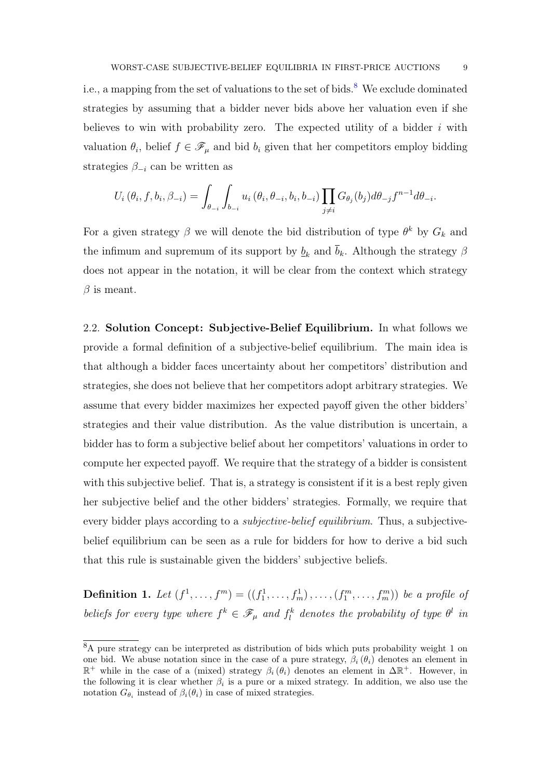i.e., a mapping from the set of valuations to the set of bids.<sup>[8](#page-8-0)</sup> We exclude dominated strategies by assuming that a bidder never bids above her valuation even if she believes to win with probability zero. The expected utility of a bidder  $i$  with valuation  $\theta_i$ , belief  $f \in \mathscr{F}_\mu$  and bid  $b_i$  given that her competitors employ bidding strategies  $\beta_{-i}$  can be written as

$$
U_i(\theta_i, f, b_i, \beta_{-i}) = \int_{\theta_{-i}} \int_{b_{-i}} u_i(\theta_i, \theta_{-i}, b_i, b_{-i}) \prod_{j \neq i} G_{\theta_j}(b_j) d\theta_{-j} f^{n-1} d\theta_{-i}.
$$

For a given strategy  $\beta$  we will denote the bid distribution of type  $\theta^k$  by  $G_k$  and the infimum and supremum of its support by  $\underline{b}_k$  and  $\overline{b}_k$ . Although the strategy  $\beta$ does not appear in the notation, it will be clear from the context which strategy  $\beta$  is meant.

2.2. Solution Concept: Subjective-Belief Equilibrium. In what follows we provide a formal definition of a subjective-belief equilibrium. The main idea is that although a bidder faces uncertainty about her competitors' distribution and strategies, she does not believe that her competitors adopt arbitrary strategies. We assume that every bidder maximizes her expected payoff given the other bidders' strategies and their value distribution. As the value distribution is uncertain, a bidder has to form a subjective belief about her competitors' valuations in order to compute her expected payoff. We require that the strategy of a bidder is consistent with this subjective belief. That is, a strategy is consistent if it is a best reply given her subjective belief and the other bidders' strategies. Formally, we require that every bidder plays according to a subjective-belief equilibrium. Thus, a subjectivebelief equilibrium can be seen as a rule for bidders for how to derive a bid such that this rule is sustainable given the bidders' subjective beliefs.

**Definition 1.** Let  $(f^1, \ldots, f^m) = ((f_1^1, \ldots, f_m^1), \ldots, (f_1^m, \ldots, f_m^m))$  be a profile of beliefs for every type where  $f^k \in \mathscr{F}_{\mu}$  and  $f^k_l$  denotes the probability of type  $\theta^l$  in

<span id="page-8-0"></span><sup>8</sup>A pure strategy can be interpreted as distribution of bids which puts probability weight 1 on one bid. We abuse notation since in the case of a pure strategy,  $\beta_i(\theta_i)$  denotes an element in  $\mathbb{R}^+$  while in the case of a (mixed) strategy  $\beta_i(\theta_i)$  denotes an element in  $\Delta \mathbb{R}^+$ . However, in the following it is clear whether  $\beta_i$  is a pure or a mixed strategy. In addition, we also use the notation  $G_{\theta_i}$  instead of  $\beta_i(\theta_i)$  in case of mixed strategies.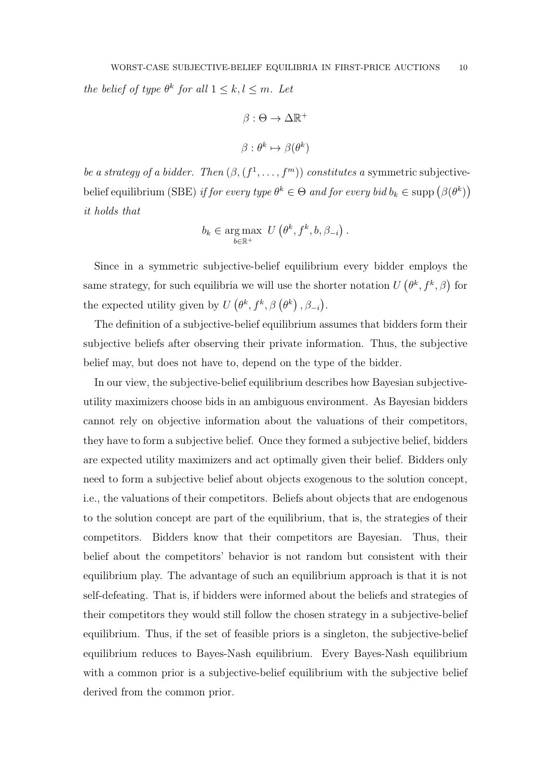the belief of type  $\theta^k$  for all  $1 \leq k, l \leq m$ . Let

$$
\beta : \Theta \to \Delta \mathbb{R}^+
$$

$$
\beta : \theta^k \mapsto \beta(\theta^k)
$$

be a strategy of a bidder. Then  $(\beta, (f^1, \ldots, f^m))$  constitutes a symmetric subjectivebelief equilibrium (SBE) if for every type  $\theta^k \in \Theta$  and for every bid  $b_k \in \text{supp}(\beta(\theta^k))$ it holds that

$$
b_k \in \underset{b \in \mathbb{R}^+}{\arg \max} \ U\left(\theta^k, f^k, b, \beta_{-i}\right).
$$

Since in a symmetric subjective-belief equilibrium every bidder employs the same strategy, for such equilibria we will use the shorter notation  $U(\theta^k, f^k, \beta)$  for the expected utility given by  $U(\theta^k, f^k, \beta(\theta^k), \beta_{-i}).$ 

The definition of a subjective-belief equilibrium assumes that bidders form their subjective beliefs after observing their private information. Thus, the subjective belief may, but does not have to, depend on the type of the bidder.

In our view, the subjective-belief equilibrium describes how Bayesian subjectiveutility maximizers choose bids in an ambiguous environment. As Bayesian bidders cannot rely on objective information about the valuations of their competitors, they have to form a subjective belief. Once they formed a subjective belief, bidders are expected utility maximizers and act optimally given their belief. Bidders only need to form a subjective belief about objects exogenous to the solution concept, i.e., the valuations of their competitors. Beliefs about objects that are endogenous to the solution concept are part of the equilibrium, that is, the strategies of their competitors. Bidders know that their competitors are Bayesian. Thus, their belief about the competitors' behavior is not random but consistent with their equilibrium play. The advantage of such an equilibrium approach is that it is not self-defeating. That is, if bidders were informed about the beliefs and strategies of their competitors they would still follow the chosen strategy in a subjective-belief equilibrium. Thus, if the set of feasible priors is a singleton, the subjective-belief equilibrium reduces to Bayes-Nash equilibrium. Every Bayes-Nash equilibrium with a common prior is a subjective-belief equilibrium with the subjective belief derived from the common prior.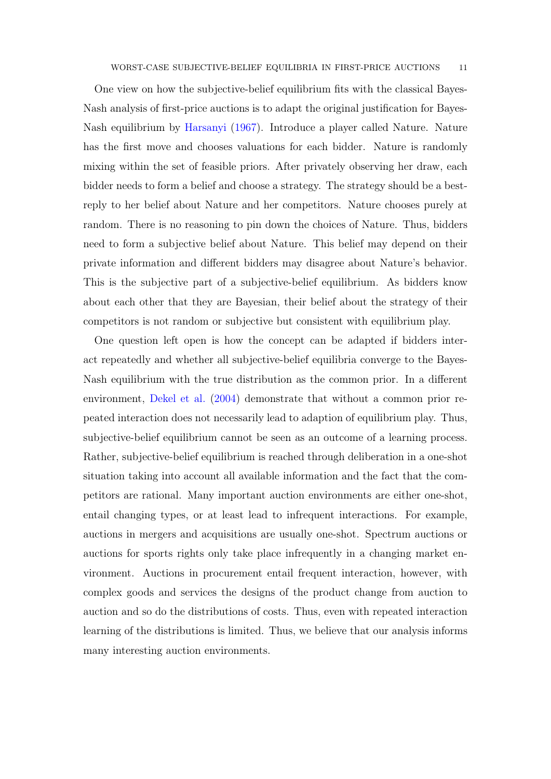One view on how the subjective-belief equilibrium fits with the classical Bayes-Nash analysis of first-price auctions is to adapt the original justification for Bayes-Nash equilibrium by [Harsanyi](#page-21-13) [\(1967\)](#page-21-13). Introduce a player called Nature. Nature has the first move and chooses valuations for each bidder. Nature is randomly mixing within the set of feasible priors. After privately observing her draw, each bidder needs to form a belief and choose a strategy. The strategy should be a bestreply to her belief about Nature and her competitors. Nature chooses purely at random. There is no reasoning to pin down the choices of Nature. Thus, bidders need to form a subjective belief about Nature. This belief may depend on their private information and different bidders may disagree about Nature's behavior. This is the subjective part of a subjective-belief equilibrium. As bidders know about each other that they are Bayesian, their belief about the strategy of their competitors is not random or subjective but consistent with equilibrium play.

One question left open is how the concept can be adapted if bidders interact repeatedly and whether all subjective-belief equilibria converge to the Bayes-Nash equilibrium with the true distribution as the common prior. In a different environment, [Dekel et al.](#page-21-14) [\(2004\)](#page-21-14) demonstrate that without a common prior repeated interaction does not necessarily lead to adaption of equilibrium play. Thus, subjective-belief equilibrium cannot be seen as an outcome of a learning process. Rather, subjective-belief equilibrium is reached through deliberation in a one-shot situation taking into account all available information and the fact that the competitors are rational. Many important auction environments are either one-shot, entail changing types, or at least lead to infrequent interactions. For example, auctions in mergers and acquisitions are usually one-shot. Spectrum auctions or auctions for sports rights only take place infrequently in a changing market environment. Auctions in procurement entail frequent interaction, however, with complex goods and services the designs of the product change from auction to auction and so do the distributions of costs. Thus, even with repeated interaction learning of the distributions is limited. Thus, we believe that our analysis informs many interesting auction environments.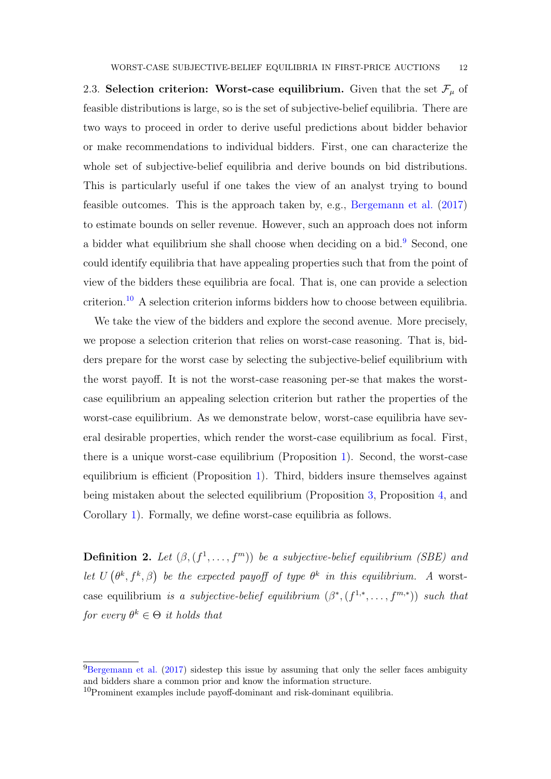2.3. Selection criterion: Worst-case equilibrium. Given that the set  $\mathcal{F}_{\mu}$  of feasible distributions is large, so is the set of subjective-belief equilibria. There are two ways to proceed in order to derive useful predictions about bidder behavior or make recommendations to individual bidders. First, one can characterize the whole set of subjective-belief equilibria and derive bounds on bid distributions. This is particularly useful if one takes the view of an analyst trying to bound feasible outcomes. This is the approach taken by, e.g., [Bergemann et al.](#page-20-4) [\(2017\)](#page-20-4) to estimate bounds on seller revenue. However, such an approach does not inform a bidder what equilibrium she shall choose when deciding on a bid.<sup>[9](#page-11-0)</sup> Second, one could identify equilibria that have appealing properties such that from the point of view of the bidders these equilibria are focal. That is, one can provide a selection criterion.[10](#page-11-1) A selection criterion informs bidders how to choose between equilibria.

We take the view of the bidders and explore the second avenue. More precisely, we propose a selection criterion that relies on worst-case reasoning. That is, bidders prepare for the worst case by selecting the subjective-belief equilibrium with the worst payoff. It is not the worst-case reasoning per-se that makes the worstcase equilibrium an appealing selection criterion but rather the properties of the worst-case equilibrium. As we demonstrate below, worst-case equilibria have several desirable properties, which render the worst-case equilibrium as focal. First, there is a unique worst-case equilibrium (Proposition [1\)](#page-13-0). Second, the worst-case equilibrium is efficient (Proposition [1\)](#page-13-0). Third, bidders insure themselves against being mistaken about the selected equilibrium (Proposition [3,](#page-17-0) Proposition [4,](#page-18-0) and Corollary [1\)](#page-19-0). Formally, we define worst-case equilibria as follows.

**Definition 2.** Let  $(\beta, (f^1, \ldots, f^m))$  be a subjective-belief equilibrium (SBE) and let  $U(\theta^k, f^k, \beta)$  be the expected payoff of type  $\theta^k$  in this equilibrium. A worstcase equilibrium is a subjective-belief equilibrium  $(\beta^*, (f^{1,*}, \ldots, f^{m,*}))$  such that for every  $\theta^k \in \Theta$  it holds that

<span id="page-11-0"></span> $^{9}$ [Bergemann et al.](#page-20-4) [\(2017\)](#page-20-4) sidestep this issue by assuming that only the seller faces ambiguity and bidders share a common prior and know the information structure.

<span id="page-11-1"></span><sup>10</sup>Prominent examples include payoff-dominant and risk-dominant equilibria.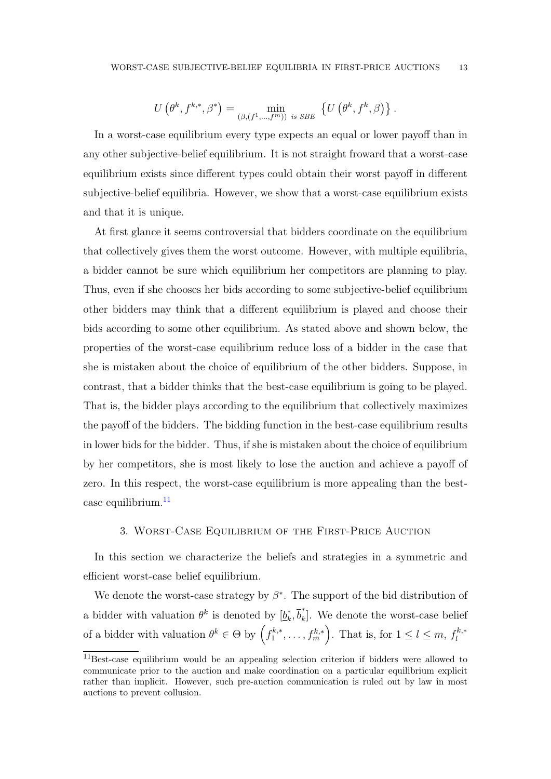$$
U\left(\theta^k, f^{k,*}, \beta^*\right) = \min_{\left(\beta, (f^1, \ldots, f^m)\right) \text{ is } SBE} \left\{U\left(\theta^k, f^k, \beta\right)\right\}.
$$

In a worst-case equilibrium every type expects an equal or lower payoff than in any other subjective-belief equilibrium. It is not straight froward that a worst-case equilibrium exists since different types could obtain their worst payoff in different subjective-belief equilibria. However, we show that a worst-case equilibrium exists and that it is unique.

At first glance it seems controversial that bidders coordinate on the equilibrium that collectively gives them the worst outcome. However, with multiple equilibria, a bidder cannot be sure which equilibrium her competitors are planning to play. Thus, even if she chooses her bids according to some subjective-belief equilibrium other bidders may think that a different equilibrium is played and choose their bids according to some other equilibrium. As stated above and shown below, the properties of the worst-case equilibrium reduce loss of a bidder in the case that she is mistaken about the choice of equilibrium of the other bidders. Suppose, in contrast, that a bidder thinks that the best-case equilibrium is going to be played. That is, the bidder plays according to the equilibrium that collectively maximizes the payoff of the bidders. The bidding function in the best-case equilibrium results in lower bids for the bidder. Thus, if she is mistaken about the choice of equilibrium by her competitors, she is most likely to lose the auction and achieve a payoff of zero. In this respect, the worst-case equilibrium is more appealing than the bestcase equilibrium. $11$ 

# 3. Worst-Case Equilibrium of the First-Price Auction

In this section we characterize the beliefs and strategies in a symmetric and efficient worst-case belief equilibrium.

We denote the worst-case strategy by  $\beta^*$ . The support of the bid distribution of a bidder with valuation  $\theta^k$  is denoted by  $\left[\underline{b}_k^*\right]$  $\bar{b}_k^*, \bar{b}_k^*$  $\tilde{k}$ . We denote the worst-case belief of a bidder with valuation  $\theta^k \in \Theta$  by  $\left(\int_1^{k,*}$  $\{f_1^{k,*}, \ldots, f_m^{k,*}\}$ . That is, for  $1 \leq l \leq m$ ,  $f_l^{k,*}$ l

<span id="page-12-0"></span><sup>11</sup>Best-case equilibrium would be an appealing selection criterion if bidders were allowed to communicate prior to the auction and make coordination on a particular equilibrium explicit rather than implicit. However, such pre-auction communication is ruled out by law in most auctions to prevent collusion.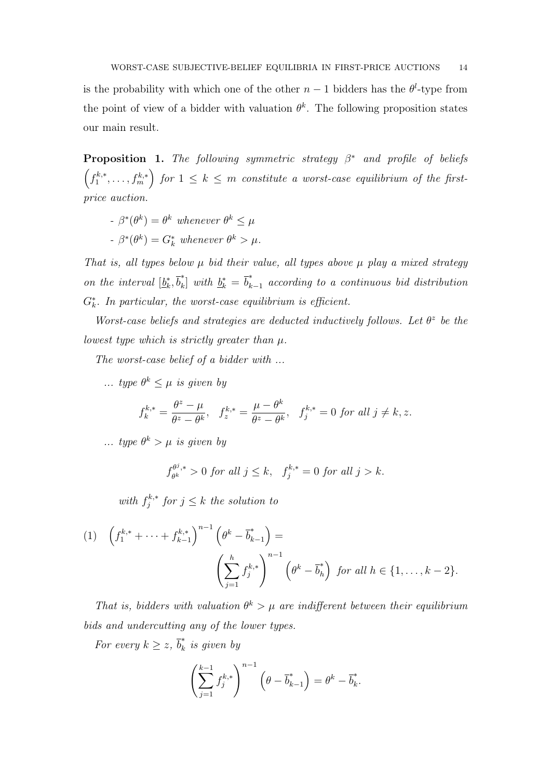is the probability with which one of the other  $n-1$  bidders has the  $\theta^l$ -type from the point of view of a bidder with valuation  $\theta^k$ . The following proposition states our main result.

<span id="page-13-0"></span>**Proposition 1.** The following symmetric strategy  $\beta^*$  and profile of beliefs  $\left(f_1^{k,*}\right)$  $\left( \mathbf{f}_{1}^{k,*},\ldots,\mathbf{f}_{m}^{k,*}\right)$  for  $1\leq k\leq m$  constitute a worst-case equilibrium of the firstprice auction.

- $-\beta^*(\theta^k) = \theta^k$  whenever  $\theta^k \leq \mu$
- $-\beta^*(\theta^k) = G_k^*$  whenever  $\theta^k > \mu$ .

That is, all types below  $\mu$  bid their value, all types above  $\mu$  play a mixed strategy on the interval  $\left[\underline{b}_k^*\right]$  $\bar{b}_k^*, \bar{b}_k^*$  $\mathbf{b}_k^*$  with  $\underline{b}_k^* = \overline{b}_{k-1}^*$  according to a continuous bid distribution  $G_{k}^{*}$ . In particular, the worst-case equilibrium is efficient.

Worst-case beliefs and strategies are deducted inductively follows. Let  $\theta^z$  be the lowest type which is strictly greater than  $\mu$ .

The worst-case belief of a bidder with ...

... type  $\theta^k \leq \mu$  is given by

$$
f_k^{k,*} = \frac{\theta^z - \mu}{\theta^z - \theta^k}, \quad f_z^{k,*} = \frac{\mu - \theta^k}{\theta^z - \theta^k}, \quad f_j^{k,*} = 0 \text{ for all } j \neq k, z.
$$

... type  $\theta^k > \mu$  is given by

$$
f_{\theta^k}^{\theta^j,*} > 0 \text{ for all } j \le k, \quad f_j^{k,*} = 0 \text{ for all } j > k.
$$

with  $f_i^{k,*}$  $j_j^{k,*}$  for  $j \leq k$  the solution to

<span id="page-13-1"></span>
$$
(1) \quad \left(f_1^{k,*} + \dots + f_{k-1}^{k,*}\right)^{n-1} \left(\theta^k - \overline{b}_{k-1}^*\right) =
$$
\n
$$
\left(\sum_{j=1}^h f_j^{k,*}\right)^{n-1} \left(\theta^k - \overline{b}_h^*\right) \text{ for all } h \in \{1, \dots, k-2\}.
$$

That is, bidders with valuation  $\theta^k > \mu$  are indifferent between their equilibrium bids and undercutting any of the lower types.

For every  $k \geq z$ ,  $\overline{b}_k^*$  $\int_k$  is given by

$$
\left(\sum_{j=1}^{k-1} f_j^{k,*}\right)^{n-1} \left(\theta - \overline{b}_{k-1}^*\right) = \theta^k - \overline{b}_k^*.
$$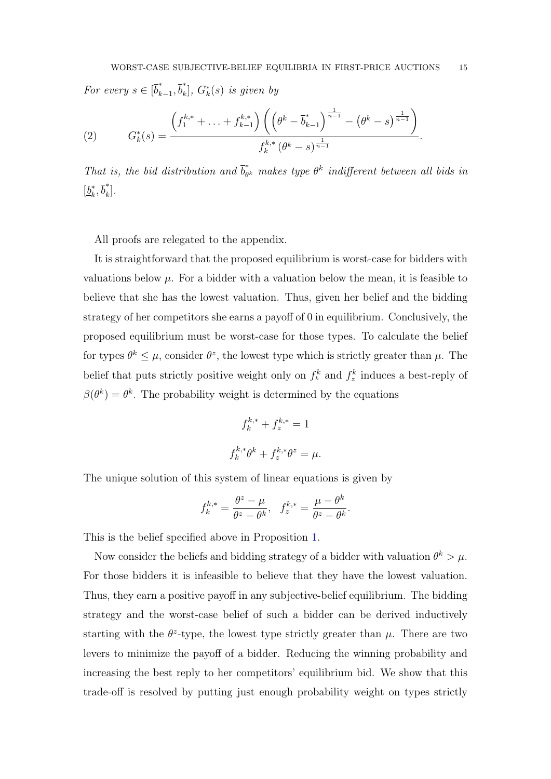For every  $s \in [\overline{b}_k^*]$  $\bar{b}_{k-1}^*, \bar{b}_k^*$  $\binom{*}{k}$ ,  $G_k^*(s)$  is given by

(2) 
$$
G_k^*(s) = \frac{\left(f_1^{k,*} + \ldots + f_{k-1}^{k,*}\right)\left(\left(\theta^k - \overline{b}_{k-1}^*\right)^{\frac{1}{n-1}} - \left(\theta^k - s\right)^{\frac{1}{n-1}}\right)}{f_k^{k,*} \left(\theta^k - s\right)^{\frac{1}{n-1}}}.
$$

That is, the bid distribution and  $\overline{b}_{\theta}^*$  $\tilde{\theta}_{\theta^k}^*$  makes type  $\theta^k$  indifferent between all bids in  $\left[\underline{b}_k^*\right]$  $\bar{b}_k^*, \bar{b}_k^*$  $\begin{bmatrix} 1 \ k \end{bmatrix}$ .

All proofs are relegated to the appendix.

It is straightforward that the proposed equilibrium is worst-case for bidders with valuations below  $\mu$ . For a bidder with a valuation below the mean, it is feasible to believe that she has the lowest valuation. Thus, given her belief and the bidding strategy of her competitors she earns a payoff of 0 in equilibrium. Conclusively, the proposed equilibrium must be worst-case for those types. To calculate the belief for types  $\theta^k \leq \mu$ , consider  $\theta^z$ , the lowest type which is strictly greater than  $\mu$ . The belief that puts strictly positive weight only on  $f_k^k$  and  $f_z^k$  induces a best-reply of  $\beta(\theta^k) = \theta^k$ . The probability weight is determined by the equations

$$
f_k^{k,*} + f_z^{k,*} = 1
$$
  

$$
f_k^{k,*} \theta^k + f_z^{k,*} \theta^z = \mu.
$$

The unique solution of this system of linear equations is given by

$$
f_k^{k,*} = \frac{\theta^z - \mu}{\theta^z - \theta^k}, \quad f_z^{k,*} = \frac{\mu - \theta^k}{\theta^z - \theta^k}.
$$

This is the belief specified above in Proposition [1.](#page-13-0)

Now consider the beliefs and bidding strategy of a bidder with valuation  $\theta^k > \mu$ . For those bidders it is infeasible to believe that they have the lowest valuation. Thus, they earn a positive payoff in any subjective-belief equilibrium. The bidding strategy and the worst-case belief of such a bidder can be derived inductively starting with the  $\theta^2$ -type, the lowest type strictly greater than  $\mu$ . There are two levers to minimize the payoff of a bidder. Reducing the winning probability and increasing the best reply to her competitors' equilibrium bid. We show that this trade-off is resolved by putting just enough probability weight on types strictly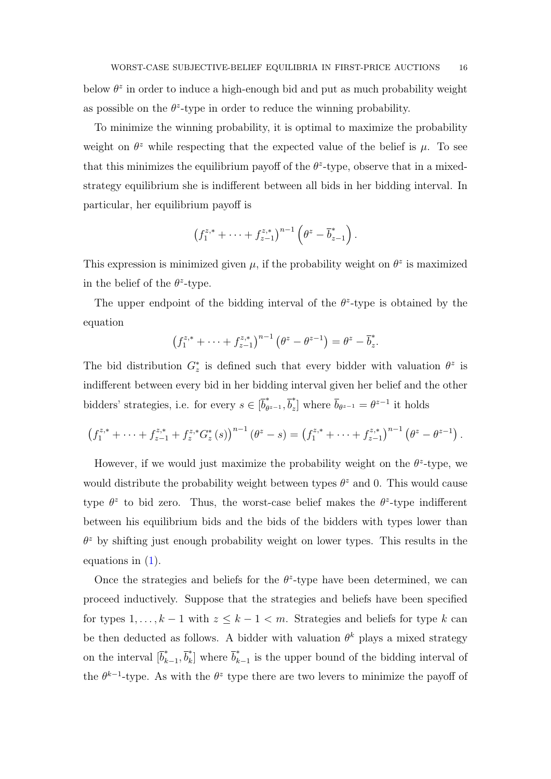below  $\theta^z$  in order to induce a high-enough bid and put as much probability weight as possible on the  $\theta^z$ -type in order to reduce the winning probability.

To minimize the winning probability, it is optimal to maximize the probability weight on  $\theta^z$  while respecting that the expected value of the belief is  $\mu$ . To see that this minimizes the equilibrium payoff of the  $\theta^z$ -type, observe that in a mixedstrategy equilibrium she is indifferent between all bids in her bidding interval. In particular, her equilibrium payoff is

$$
\left(f_1^{z,*} + \cdots + f_{z-1}^{z,*}\right)^{n-1} \left(\theta^z - \overline{b}_{z-1}^*\right).
$$

This expression is minimized given  $\mu$ , if the probability weight on  $\theta^z$  is maximized in the belief of the  $\theta^z$ -type.

The upper endpoint of the bidding interval of the  $\theta^2$ -type is obtained by the equation

$$
(f_1^{z,*} + \cdots + f_{z-1}^{z,*})^{n-1} (\theta^z - \theta^{z-1}) = \theta^z - \overline{b}_z^*.
$$

The bid distribution  $G_z^*$  is defined such that every bidder with valuation  $\theta^z$  is indifferent between every bid in her bidding interval given her belief and the other bidders' strategies, i.e. for every  $s \in [\bar{b}_\theta^*]$  $\phi_{z-1},\overline{b}_z^*$ <sup>\*</sup><sub>z</sub>] where  $\bar{b}_{\theta^{z-1}} = \theta^{z-1}$  it holds

$$
\left(f_1^{z,*} + \cdots + f_{z-1}^{z,*} + f_z^{z,*} G_z^*(s)\right)^{n-1} \left(\theta^z - s\right) = \left(f_1^{z,*} + \cdots + f_{z-1}^{z,*}\right)^{n-1} \left(\theta^z - \theta^{z-1}\right).
$$

However, if we would just maximize the probability weight on the  $\theta^z$ -type, we would distribute the probability weight between types  $\theta^z$  and 0. This would cause type  $\theta^z$  to bid zero. Thus, the worst-case belief makes the  $\theta^z$ -type indifferent between his equilibrium bids and the bids of the bidders with types lower than  $\theta^z$  by shifting just enough probability weight on lower types. This results in the equations in [\(1\)](#page-13-1).

Once the strategies and beliefs for the  $\theta^2$ -type have been determined, we can proceed inductively. Suppose that the strategies and beliefs have been specified for types  $1, \ldots, k-1$  with  $z \leq k-1 < m$ . Strategies and beliefs for type k can be then deducted as follows. A bidder with valuation  $\theta^k$  plays a mixed strategy on the interval  $\begin{bmatrix} \overline{b}_k^* \end{bmatrix}$ \* $\bar{b}_k^*$ <sub>k−1</sub>,  $\bar{b}_k^*$  $\bar{b}_k^*$  where  $\bar{b}_k^*$  $\int_{k-1}^{\infty}$  is the upper bound of the bidding interval of the  $\theta^{k-1}$ -type. As with the  $\theta^z$  type there are two levers to minimize the payoff of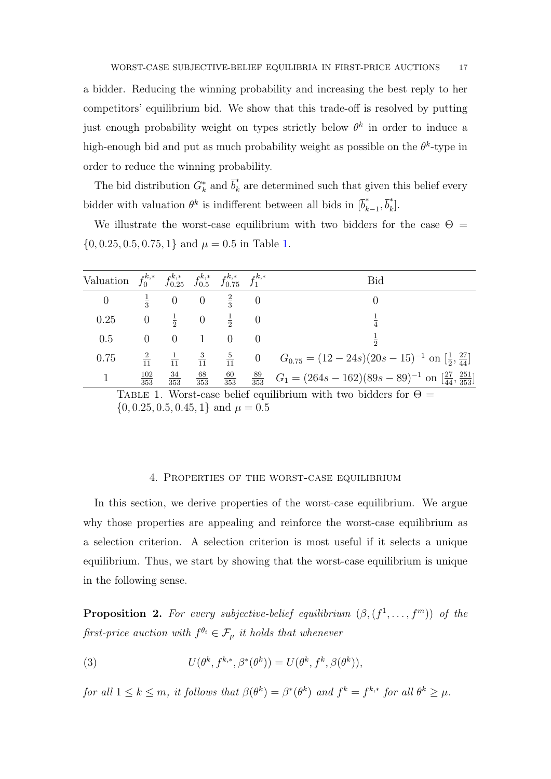a bidder. Reducing the winning probability and increasing the best reply to her competitors' equilibrium bid. We show that this trade-off is resolved by putting just enough probability weight on types strictly below  $\theta^k$  in order to induce a high-enough bid and put as much probability weight as possible on the  $\theta^k$ -type in order to reduce the winning probability.

The bid distribution  $G_k^*$  and  $\overline{b}_k^*$  $\hat{k}_k$  are determined such that given this belief every bidder with valuation  $\theta^k$  is indifferent between all bids in  $[\overline{b}_k^*$  $\bar{b}_{k-1}^*, \bar{b}_k^*$  $\begin{bmatrix} 1 \ k \end{bmatrix}$ .

We illustrate the worst-case equilibrium with two bidders for the case  $\Theta =$  $\{0, 0.25, 0.5, 0.75, 1\}$  and  $\mu = 0.5$  in Table [1.](#page-16-0)

| Valuation $f_0^{k,*}$ $f_{0.25}^{k,*}$ $f_{0.5}^{k,*}$ $f_{0.75}^{k,*}$ $f_1^{k,*}$ |                   |                                   |                     |  | Bid                                                                                                                                           |
|-------------------------------------------------------------------------------------|-------------------|-----------------------------------|---------------------|--|-----------------------------------------------------------------------------------------------------------------------------------------------|
| $\overline{0}$                                                                      |                   | $\frac{1}{3}$ 0 0 $\frac{2}{3}$ 0 |                     |  |                                                                                                                                               |
| 0.25                                                                                |                   | 0 $\frac{1}{2}$ 0 $\frac{1}{2}$ 0 |                     |  |                                                                                                                                               |
| 0.5                                                                                 | $\overline{0}$    |                                   | $0 \quad 1 \quad 0$ |  |                                                                                                                                               |
| 0.75                                                                                |                   |                                   |                     |  | $\frac{2}{11}$ $\frac{1}{11}$ $\frac{3}{11}$ $\frac{5}{11}$ 0 $G_{0.75} = (12-24s)(20s-15)^{-1}$ on $\left[\frac{1}{2}, \frac{27}{44}\right]$ |
| $\mathbf{1}$                                                                        | $\frac{102}{353}$ | $\frac{34}{353}$ $\frac{68}{353}$ |                     |  | $\frac{60}{353}$ $\frac{89}{353}$ $G_1 = (264s - 162)(89s - 89)^{-1}$ on $\left[\frac{27}{44}, \frac{251}{353}\right]$                        |

<span id="page-16-0"></span>TABLE 1. Worst-case belief equilibrium with two bidders for  $\Theta =$  $\{0, 0.25, 0.5, 0.45, 1\}$  and  $\mu = 0.5$ 

#### 4. Properties of the worst-case equilibrium

In this section, we derive properties of the worst-case equilibrium. We argue why those properties are appealing and reinforce the worst-case equilibrium as a selection criterion. A selection criterion is most useful if it selects a unique equilibrium. Thus, we start by showing that the worst-case equilibrium is unique in the following sense.

<span id="page-16-1"></span>**Proposition 2.** For every subjective-belief equilibrium  $(\beta, (f^1, \ldots, f^m))$  of the first-price auction with  $f^{\theta_i} \in \mathcal{F}_{\mu}$  it holds that whenever

(3) 
$$
U(\theta^k, f^{k,*}, \beta^*(\theta^k)) = U(\theta^k, f^k, \beta(\theta^k)),
$$

for all  $1 \leq k \leq m$ , it follows that  $\beta(\theta^k) = \beta^*(\theta^k)$  and  $f^k = f^{k,*}$  for all  $\theta^k \geq \mu$ .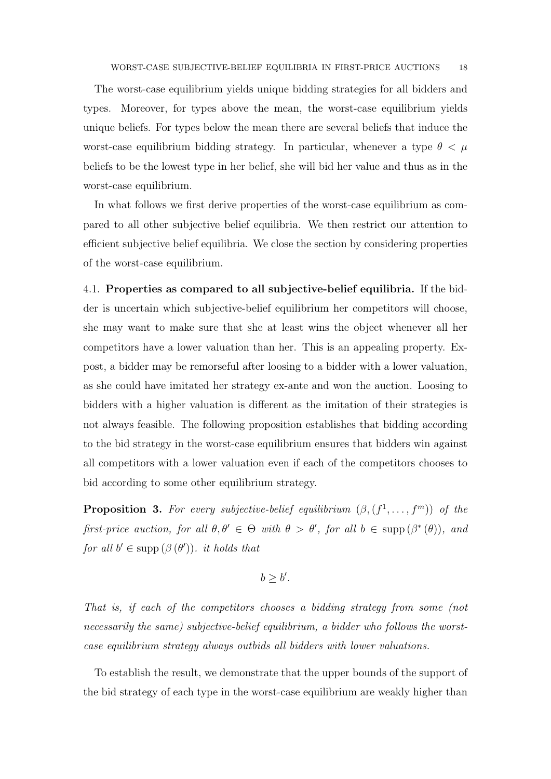The worst-case equilibrium yields unique bidding strategies for all bidders and types. Moreover, for types above the mean, the worst-case equilibrium yields unique beliefs. For types below the mean there are several beliefs that induce the worst-case equilibrium bidding strategy. In particular, whenever a type  $\theta < \mu$ beliefs to be the lowest type in her belief, she will bid her value and thus as in the worst-case equilibrium.

In what follows we first derive properties of the worst-case equilibrium as compared to all other subjective belief equilibria. We then restrict our attention to efficient subjective belief equilibria. We close the section by considering properties of the worst-case equilibrium.

4.1. Properties as compared to all subjective-belief equilibria. If the bidder is uncertain which subjective-belief equilibrium her competitors will choose, she may want to make sure that she at least wins the object whenever all her competitors have a lower valuation than her. This is an appealing property. Expost, a bidder may be remorseful after loosing to a bidder with a lower valuation, as she could have imitated her strategy ex-ante and won the auction. Loosing to bidders with a higher valuation is different as the imitation of their strategies is not always feasible. The following proposition establishes that bidding according to the bid strategy in the worst-case equilibrium ensures that bidders win against all competitors with a lower valuation even if each of the competitors chooses to bid according to some other equilibrium strategy.

<span id="page-17-0"></span>**Proposition 3.** For every subjective-belief equilibrium  $(\beta, (f^1, \ldots, f^m))$  of the first-price auction, for all  $\theta, \theta' \in \Theta$  with  $\theta > \theta'$ , for all  $b \in \text{supp}(\beta^*(\theta))$ , and for all  $b' \in \text{supp} (\beta(\theta'))$ . it holds that

$$
b \ge b'.
$$

That is, if each of the competitors chooses a bidding strategy from some (not necessarily the same) subjective-belief equilibrium, a bidder who follows the worstcase equilibrium strategy always outbids all bidders with lower valuations.

To establish the result, we demonstrate that the upper bounds of the support of the bid strategy of each type in the worst-case equilibrium are weakly higher than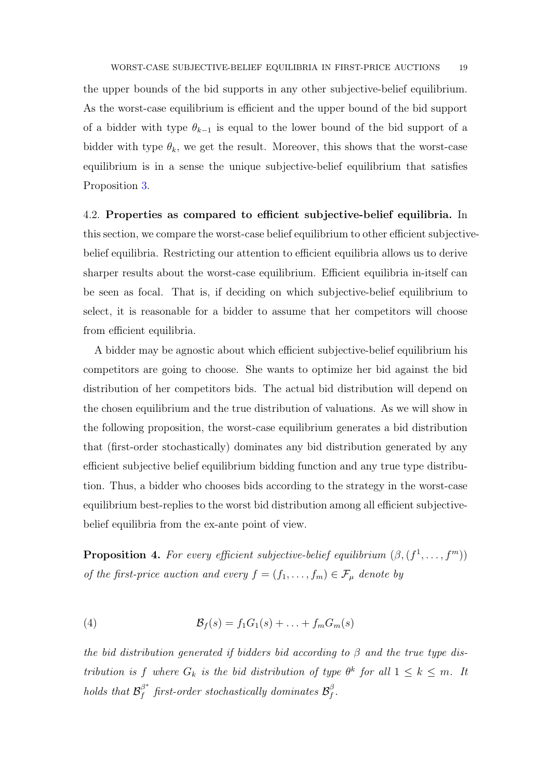WORST-CASE SUBJECTIVE-BELIEF EQUILIBRIA IN FIRST-PRICE AUCTIONS 19

the upper bounds of the bid supports in any other subjective-belief equilibrium. As the worst-case equilibrium is efficient and the upper bound of the bid support of a bidder with type  $\theta_{k-1}$  is equal to the lower bound of the bid support of a bidder with type  $\theta_k$ , we get the result. Moreover, this shows that the worst-case equilibrium is in a sense the unique subjective-belief equilibrium that satisfies Proposition [3.](#page-17-0)

4.2. Properties as compared to efficient subjective-belief equilibria. In this section, we compare the worst-case belief equilibrium to other efficient subjectivebelief equilibria. Restricting our attention to efficient equilibria allows us to derive sharper results about the worst-case equilibrium. Efficient equilibria in-itself can be seen as focal. That is, if deciding on which subjective-belief equilibrium to select, it is reasonable for a bidder to assume that her competitors will choose from efficient equilibria.

A bidder may be agnostic about which efficient subjective-belief equilibrium his competitors are going to choose. She wants to optimize her bid against the bid distribution of her competitors bids. The actual bid distribution will depend on the chosen equilibrium and the true distribution of valuations. As we will show in the following proposition, the worst-case equilibrium generates a bid distribution that (first-order stochastically) dominates any bid distribution generated by any efficient subjective belief equilibrium bidding function and any true type distribution. Thus, a bidder who chooses bids according to the strategy in the worst-case equilibrium best-replies to the worst bid distribution among all efficient subjectivebelief equilibria from the ex-ante point of view.

<span id="page-18-0"></span>**Proposition 4.** For every efficient subjective-belief equilibrium  $(\beta, (f^1, \ldots, f^m))$ of the first-price auction and every  $f = (f_1, \ldots, f_m) \in \mathcal{F}_{\mu}$  denote by

(4) 
$$
\mathcal{B}_f(s) = f_1 G_1(s) + \ldots + f_m G_m(s)
$$

the bid distribution generated if bidders bid according to  $\beta$  and the true type distribution is f where  $G_k$  is the bid distribution of type  $\theta^k$  for all  $1 \leq k \leq m$ . It holds that  $\mathcal{B}_f^{\beta^*}$  $\smallint_f^{\beta^*}\textit{first-order stochastically dominates }\mathcal{B}_f^{\beta}$  $_{f}^{\beta}$  .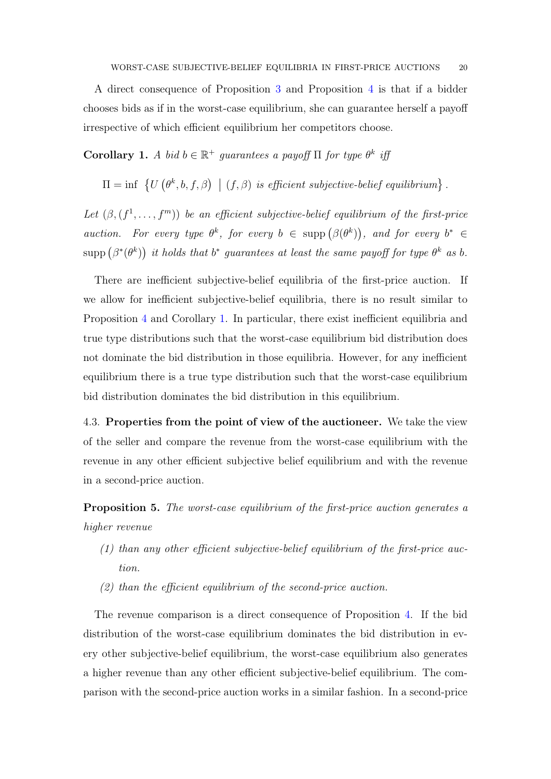A direct consequence of Proposition [3](#page-17-0) and Proposition [4](#page-18-0) is that if a bidder chooses bids as if in the worst-case equilibrium, she can guarantee herself a payoff irrespective of which efficient equilibrium her competitors choose.

<span id="page-19-0"></span>Corollary 1. A bid  $b \in \mathbb{R}^+$  guarantees a payoff  $\Pi$  for type  $\theta^k$  if

$$
\Pi = \inf \{ U(\theta^k, b, f, \beta) \mid (f, \beta) \text{ is efficient subjective-belief equilibrium} \}
$$

.

Let  $(\beta, (f^1, \ldots, f^m))$  be an efficient subjective-belief equilibrium of the first-price auction. For every type  $\theta^k$ , for every  $b \in \text{supp}(\beta(\theta^k))$ , and for every  $b^* \in$ supp  $(\beta^*(\theta^k))$  it holds that  $b^*$  guarantees at least the same payoff for type  $\theta^k$  as b.

There are inefficient subjective-belief equilibria of the first-price auction. If we allow for inefficient subjective-belief equilibria, there is no result similar to Proposition [4](#page-18-0) and Corollary [1.](#page-19-0) In particular, there exist inefficient equilibria and true type distributions such that the worst-case equilibrium bid distribution does not dominate the bid distribution in those equilibria. However, for any inefficient equilibrium there is a true type distribution such that the worst-case equilibrium bid distribution dominates the bid distribution in this equilibrium.

4.3. Properties from the point of view of the auctioneer. We take the view of the seller and compare the revenue from the worst-case equilibrium with the revenue in any other efficient subjective belief equilibrium and with the revenue in a second-price auction.

Proposition 5. The worst-case equilibrium of the first-price auction generates a higher revenue

- (1) than any other efficient subjective-belief equilibrium of the first-price auction.
- (2) than the efficient equilibrium of the second-price auction.

The revenue comparison is a direct consequence of Proposition [4.](#page-18-0) If the bid distribution of the worst-case equilibrium dominates the bid distribution in every other subjective-belief equilibrium, the worst-case equilibrium also generates a higher revenue than any other efficient subjective-belief equilibrium. The comparison with the second-price auction works in a similar fashion. In a second-price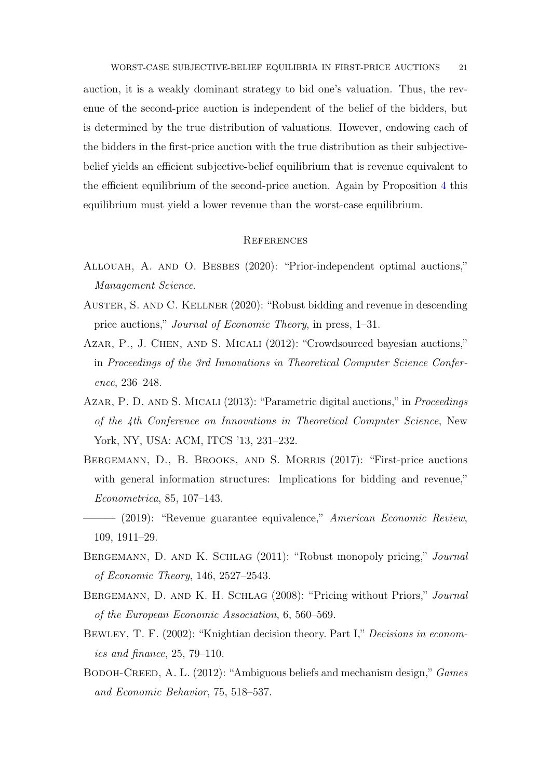WORST-CASE SUBJECTIVE-BELIEF EQUILIBRIA IN FIRST-PRICE AUCTIONS 21

auction, it is a weakly dominant strategy to bid one's valuation. Thus, the revenue of the second-price auction is independent of the belief of the bidders, but is determined by the true distribution of valuations. However, endowing each of the bidders in the first-price auction with the true distribution as their subjectivebelief yields an efficient subjective-belief equilibrium that is revenue equivalent to the efficient equilibrium of the second-price auction. Again by Proposition [4](#page-18-0) this equilibrium must yield a lower revenue than the worst-case equilibrium.

### **REFERENCES**

- <span id="page-20-9"></span>ALLOUAH, A. AND O. BESBES (2020): "Prior-independent optimal auctions," Management Science.
- <span id="page-20-1"></span>Auster, S. and C. Kellner (2020): "Robust bidding and revenue in descending price auctions," Journal of Economic Theory, in press, 1–31.
- <span id="page-20-6"></span>Azar, P., J. Chen, and S. Micali (2012): "Crowdsourced bayesian auctions," in Proceedings of the 3rd Innovations in Theoretical Computer Science Conference, 236–248.
- <span id="page-20-0"></span>AZAR, P. D. AND S. MICALI (2013): "Parametric digital auctions," in *Proceedings* of the 4th Conference on Innovations in Theoretical Computer Science, New York, NY, USA: ACM, ITCS '13, 231–232.
- <span id="page-20-4"></span>BERGEMANN, D., B. BROOKS, AND S. MORRIS (2017): "First-price auctions with general information structures: Implications for bidding and revenue," Econometrica, 85, 107–143.
- <span id="page-20-5"></span>- (2019): "Revenue guarantee equivalence," American Economic Review, 109, 1911–29.
- <span id="page-20-8"></span>Bergemann, D. and K. Schlag (2011): "Robust monopoly pricing," Journal of Economic Theory, 146, 2527–2543.
- <span id="page-20-7"></span>Bergemann, D. and K. H. Schlag (2008): "Pricing without Priors," Journal of the European Economic Association, 6, 560–569.
- <span id="page-20-3"></span>BEWLEY, T. F. (2002): "Knightian decision theory. Part I," Decisions in economics and finance, 25, 79–110.
- <span id="page-20-2"></span>BODOH-CREED, A. L. (2012): "Ambiguous beliefs and mechanism design," Games and Economic Behavior, 75, 518–537.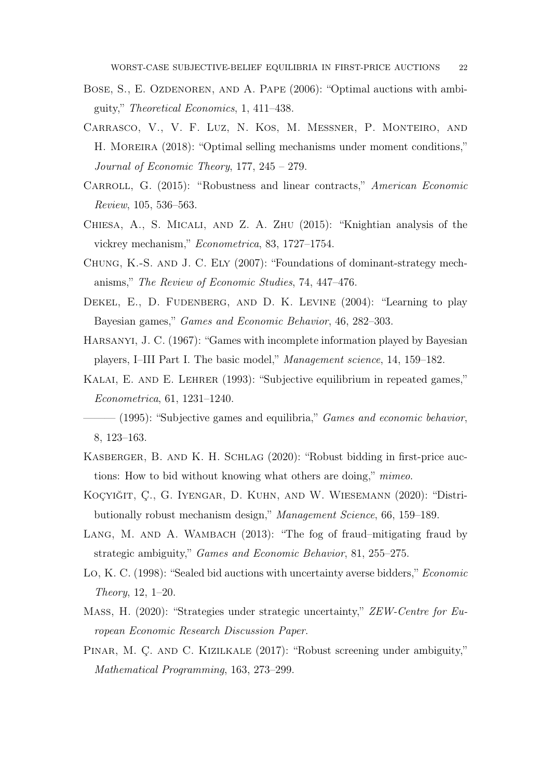- <span id="page-21-5"></span>BOSE, S., E. OZDENOREN, AND A. PAPE (2006): "Optimal auctions with ambiguity," Theoretical Economics, 1, 411–438.
- <span id="page-21-0"></span>Carrasco, V., V. F. Luz, N. Kos, M. Messner, P. Monteiro, and H. MOREIRA (2018): "Optimal selling mechanisms under moment conditions," Journal of Economic Theory, 177, 245 – 279.
- <span id="page-21-11"></span>CARROLL, G. (2015): "Robustness and linear contracts," American Economic Review, 105, 536–563.
- <span id="page-21-8"></span>Chiesa, A., S. Micali, and Z. A. Zhu (2015): "Knightian analysis of the vickrey mechanism," Econometrica, 83, 1727–1754.
- <span id="page-21-12"></span>Chung, K.-S. and J. C. Ely (2007): "Foundations of dominant-strategy mechanisms," The Review of Economic Studies, 74, 447–476.
- <span id="page-21-14"></span>DEKEL, E., D. FUDENBERG, AND D. K. LEVINE (2004): "Learning to play Bayesian games," Games and Economic Behavior, 46, 282–303.
- <span id="page-21-13"></span>Harsanyi, J. C. (1967): "Games with incomplete information played by Bayesian players, I–III Part I. The basic model," Management science, 14, 159–182.
- <span id="page-21-3"></span>KALAI, E. AND E. LEHRER (1993): "Subjective equilibrium in repeated games," Econometrica, 61, 1231–1240.
- <span id="page-21-4"></span> $-$  (1995): "Subjective games and equilibria," *Games and economic behavior*, 8, 123–163.
- <span id="page-21-9"></span>KASBERGER, B. AND K. H. SCHLAG (2020): "Robust bidding in first-price auctions: How to bid without knowing what others are doing," mimeo.
- <span id="page-21-2"></span>Koçyiğit, Ç., G. Iyengar, D. Kuhn, and W. Wiesemann (2020): "Distributionally robust mechanism design," Management Science, 66, 159–189.
- <span id="page-21-6"></span>LANG, M. AND A. WAMBACH (2013): "The fog of fraud–mitigating fraud by strategic ambiguity," Games and Economic Behavior, 81, 255–275.
- <span id="page-21-7"></span>Lo, K. C. (1998): "Sealed bid auctions with uncertainty averse bidders," *Economic* Theory, 12, 1–20.
- <span id="page-21-10"></span>Mass, H. (2020): "Strategies under strategic uncertainty," ZEW-Centre for European Economic Research Discussion Paper.
- <span id="page-21-1"></span>Pınar, M. Ç. and C. Kızılkale (2017): "Robust screening under ambiguity," Mathematical Programming, 163, 273–299.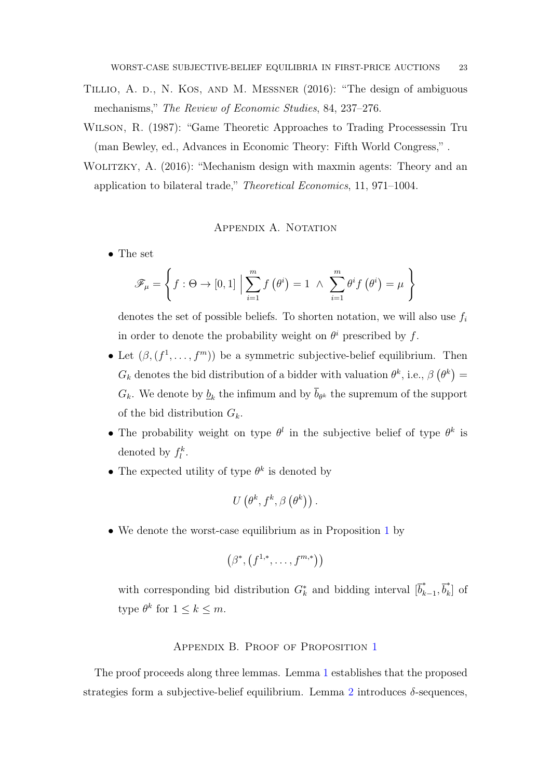- <span id="page-22-2"></span>Tillio, A. d., N. Kos, and M. Messner (2016): "The design of ambiguous mechanisms," The Review of Economic Studies, 84, 237–276.
- <span id="page-22-0"></span>Wilson, R. (1987): "Game Theoretic Approaches to Trading Processessin Tru (man Bewley, ed., Advances in Economic Theory: Fifth World Congress," .
- <span id="page-22-1"></span>WOLITZKY, A. (2016): "Mechanism design with maxmin agents: Theory and an application to bilateral trade," Theoretical Economics, 11, 971–1004.

# APPENDIX A. NOTATION

• The set

$$
\mathscr{F}_{\mu} = \left\{ f : \Theta \to [0,1] \; \Big| \sum_{i=1}^{m} f(\theta^{i}) = 1 \; \wedge \; \sum_{i=1}^{m} \theta^{i} f(\theta^{i}) = \mu \right\}
$$

denotes the set of possible beliefs. To shorten notation, we will also use  $f_i$ in order to denote the probability weight on  $\theta^i$  prescribed by f.

- Let  $(\beta, (f^1, \ldots, f^m))$  be a symmetric subjective-belief equilibrium. Then  $G_k$  denotes the bid distribution of a bidder with valuation  $\theta^k$ , i.e.,  $\beta(\theta^k)$  =  $G_k$ . We denote by  $\underline{b}_k$  the infimum and by  $b_{\theta^k}$  the supremum of the support of the bid distribution  $G_k$ .
- The probability weight on type  $\theta^l$  in the subjective belief of type  $\theta^k$  is denoted by  $f_l^k$ .
- The expected utility of type  $\theta^k$  is denoted by

$$
U\left(\theta^k, f^k, \beta\left(\theta^k\right)\right).
$$

• We denote the worst-case equilibrium as in Proposition [1](#page-13-0) by

$$
(\beta^*, (f^{1,*}, \ldots, f^{m,*}))
$$

with corresponding bid distribution  $G_k^*$  and bidding interval  $[\bar{b}_k^*$  $\bar{b}_{k-1}^*, \bar{b}_k^*$  $\left[\begin{array}{c} \mathbf{r} \\ \mathbf{k} \end{array}\right]$  of type  $\theta^k$  for  $1 \leq k \leq m$ .

# APPENDIX B. PROOF OF PROPOSITION [1](#page-13-0)

The proof proceeds along three lemmas. Lemma [1](#page-23-0) establishes that the proposed strategies form a subjective-belief equilibrium. Lemma [2](#page-28-0) introduces  $\delta$ -sequences,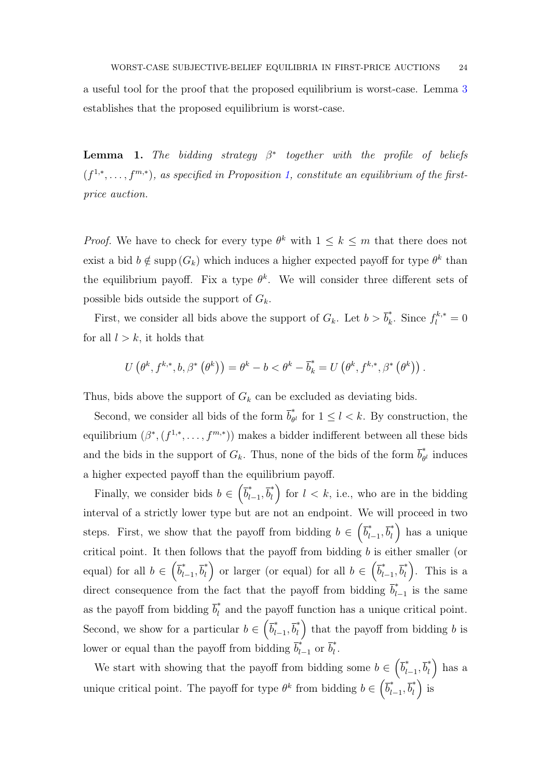<span id="page-23-0"></span>a useful tool for the proof that the proposed equilibrium is worst-case. Lemma [3](#page-29-0) establishes that the proposed equilibrium is worst-case.

**Lemma 1.** The bidding strategy  $\beta^*$  together with the profile of beliefs  $(f^{1,*},\ldots,f^{m,*})$  $(f^{1,*},\ldots,f^{m,*})$  $(f^{1,*},\ldots,f^{m,*})$ , as specified in Proposition 1, constitute an equilibrium of the firstprice auction.

*Proof.* We have to check for every type  $\theta^k$  with  $1 \leq k \leq m$  that there does not exist a bid  $b \notin \text{supp}(G_k)$  which induces a higher expected payoff for type  $\theta^k$  than the equilibrium payoff. Fix a type  $\theta^k$ . We will consider three different sets of possible bids outside the support of  $G_k$ .

First, we consider all bids above the support of  $G_k$ . Let  $b > \overline{b}_k^*$ \*, Since  $f_l^{k,*} = 0$ for all  $l > k$ , it holds that

$$
U\left(\theta^k, f^{k,*}, b, \beta^*\left(\theta^k\right)\right) = \theta^k - b < \theta^k - \overline{b}_k^* = U\left(\theta^k, f^{k,*}, \beta^*\left(\theta^k\right)\right).
$$

Thus, bids above the support of  $G_k$  can be excluded as deviating bids.

Second, we consider all bids of the form  $\overline{b}_{\theta}^*$  $\int_{\theta^l}^{\hat{\theta}}$  for  $1 \leq l < k$ . By construction, the equilibrium  $(\beta^*, (f^{1,*}, \ldots, f^{m,*}))$  makes a bidder indifferent between all these bids and the bids in the support of  $G_k$ . Thus, none of the bids of the form  $\overline{b}_\theta^*$  $\hat{\theta}$  induces a higher expected payoff than the equilibrium payoff.

Finally, we consider bids  $b \in \left(\overline{b}_l^*\right)$ \* $\bar{b}_l^*$ ,  $\bar{b}_l^*$  $\binom{n}{l}$  for  $l < k$ , i.e., who are in the bidding interval of a strictly lower type but are not an endpoint. We will proceed in two steps. First, we show that the payoff from bidding  $b \in \left(\overline{b}_l^*\right)$  $\bar{b}_l^*, \bar{b}_l^*$  $\binom{1}{l}$  has a unique critical point. It then follows that the payoff from bidding  $b$  is either smaller (or equal) for all  $b \in (\bar{b}_l^*)$  $\bar{b}_l^*, \bar{b}_l^*$ <sup>\*</sup><sub>l</sub></sub> or larger (or equal) for all  $b \in (\bar{b}_l^*)$  $\bar{b}_{l-1}^*, \bar{b}_l^*$  $\binom{1}{l}$ . This is a direct consequence from the fact that the payoff from bidding  $\vec{b}_l^*$  $\int_{l-1}^{\infty}$  is the same as the payoff from bidding  $\overline{b}_l^*$  $\hat{l}_l$  and the payoff function has a unique critical point. Second, we show for a particular  $b \in \left(\overline{b}_l^*\right)$  $\bar{b}_l^*, \bar{b}_l^*$  $\binom{1}{l}$  that the payoff from bidding b is lower or equal than the payoff from bidding  $\overline{b}_l^*$ ∗, or  $\overline{b}_l^*$  $\tilde{l}$  .

We start with showing that the payoff from bidding some  $b \in (\bar{b}_l^*$  $\bar{b}_l^*, \bar{b}_l^*$  $\binom{1}{l}$  has a unique critical point. The payoff for type  $\theta^k$  from bidding  $b \in \left(\overline{b}_l^*\right)$  $\bar{b}_l^*, \bar{b}_l^*$  $\binom{1}{l}$  is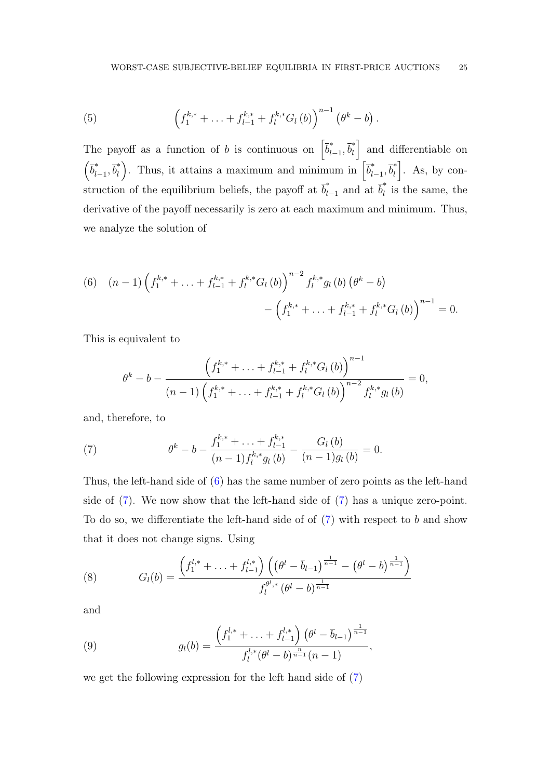(5) 
$$
\left(f_1^{k,*} + \ldots + f_{l-1}^{k,*} + f_l^{k,*} G_l (b)\right)^{n-1} \left(\theta^k - b\right).
$$

The payoff as a function of b is continuous on  $\left[\overline{b}_l^*\right]$  $\bar{b}_l^*, \bar{b}_l^*$  $\begin{bmatrix} a \\ b \end{bmatrix}$  and differentiable on  $\left(\overline{b}_{l}^{*}\right)$ \* $l-1, \bar{b}_l^*$ <sup>\*</sup><sub>l</sub></sub>). Thus, it attains a maximum and minimum in  $\left[\overline{b}_l^*\right]$ \* $\bar{b}_l^*$ ,  $\bar{b}_l^*$  $\begin{bmatrix} a & b \\ c & d \end{bmatrix}$ . As, by construction of the equilibrium beliefs, the payoff at  $\vec{b}_l^*$ <sup>\*</sup><sub> $l-1$ </sub> and at  $\overline{b}_l^*$  $\hat{l}$  is the same, the derivative of the payoff necessarily is zero at each maximum and minimum. Thus, we analyze the solution of

<span id="page-24-0"></span>(6) 
$$
(n-1)\left(f_1^{k,*}+\ldots+f_{l-1}^{k,*}+f_l^{k,*}G_l(b)\right)^{n-2}f_l^{k,*}g_l(b)\left(\theta^k-b\right)\\-\left(f_1^{k,*}+\ldots+f_{l-1}^{k,*}+f_l^{k,*}G_l(b)\right)^{n-1}=0.
$$

This is equivalent to

$$
\theta^{k} - b - \frac{\left(f_1^{k,*} + \ldots + f_{l-1}^{k,*} + f_l^{k,*} G_l (b)\right)^{n-1}}{(n-1)\left(f_1^{k,*} + \ldots + f_{l-1}^{k,*} + f_l^{k,*} G_l (b)\right)^{n-2} f_l^{k,*} g_l (b)} = 0,
$$

and, therefore, to

<span id="page-24-1"></span>(7) 
$$
\theta^{k} - b - \frac{f_{1}^{k,*} + \ldots + f_{l-1}^{k,*}}{(n-1)f_{l}^{k,*}g_{l}(b)} - \frac{G_{l}(b)}{(n-1)g_{l}(b)} = 0.
$$

Thus, the left-hand side of [\(6\)](#page-24-0) has the same number of zero points as the left-hand side of [\(7\)](#page-24-1). We now show that the left-hand side of [\(7\)](#page-24-1) has a unique zero-point. To do so, we differentiate the left-hand side of  $(7)$  with respect to b and show that it does not change signs. Using

(8) 
$$
G_l(b) = \frac{\left(f_1^{l,*} + \ldots + f_{l-1}^{l,*}\right) \left(\left(\theta^l - \overline{b}_{l-1}\right)^{\frac{1}{n-1}} - \left(\theta^l - b\right)^{\frac{1}{n-1}}\right)}{f_l^{\theta^l,*} \left(\theta^l - b\right)^{\frac{1}{n-1}}}
$$

and

(9) 
$$
g_l(b) = \frac{\left(f_1^{l,*} + \ldots + f_{l-1}^{l,*}\right)\left(\theta^l - \overline{b}_{l-1}\right)^{\frac{1}{n-1}}}{f_l^{l,*}(\theta^l - b)^{\frac{n}{n-1}}(n-1)},
$$

we get the following expression for the left hand side of [\(7\)](#page-24-1)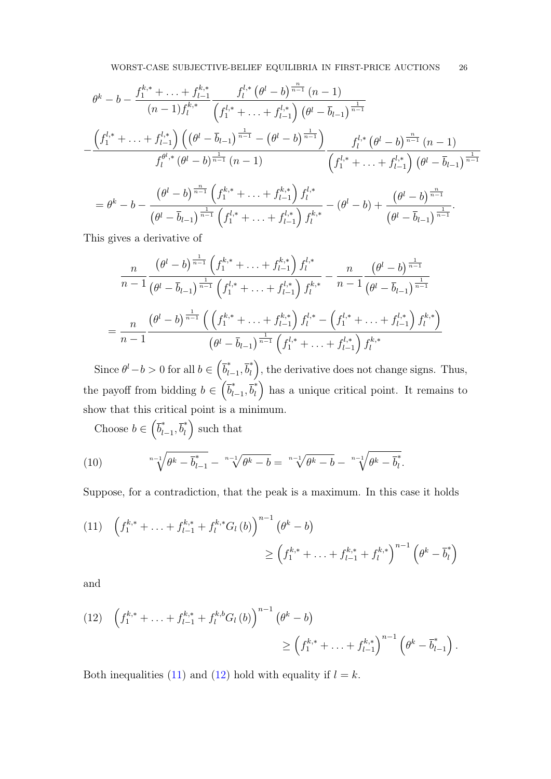$$
\theta^{k} - b - \frac{f_{1}^{k,*} + \ldots + f_{l-1}^{k,*}}{(n-1)f_{l}^{k,*}} \frac{f_{l}^{l,*}(\theta^{l} - b)^{\frac{n}{n-1}}(n-1)}{(f_{1}^{l,*} + \ldots + f_{l-1}^{l,*})(\theta^{l} - \overline{b}_{l-1})^{\frac{1}{n-1}}} - \frac{\left(f_{1}^{l,*} + \ldots + f_{l-1}^{l,*}\right)\left((\theta^{l} - \overline{b}_{l-1})^{\frac{1}{n-1}} - (\theta^{l} - b)^{\frac{1}{n-1}}\right)}{f_{l}^{l,*}(\theta^{l} - b)^{\frac{1}{n-1}}(n-1)} \frac{f_{l}^{l,*}(\theta^{l} - b)^{\frac{n}{n-1}}(n-1)}{\left(f_{1}^{l,*} + \ldots + f_{l-1}^{l,*}\right)(\theta^{l} - \overline{b}_{l-1})^{\frac{1}{n-1}}} - \frac{\theta^{k} - b - \frac{\left(\theta^{l} - b\right)^{\frac{n}{n-1}}\left(f_{1}^{l,*} + \ldots + f_{l-1}^{k,*}\right)f_{l}^{l,*}}{\left(\theta^{l} - \overline{b}_{l-1}\right)^{\frac{1}{n-1}}} \cdot \frac{\left(\theta^{l} - b\right)^{\frac{n}{n-1}}\left(f_{1}^{l,*} + \ldots + f_{l-1}^{l,*}\right)f_{l}^{l,*}}{\left(\theta^{l} - \overline{b}_{l-1}\right)^{\frac{1}{n-1}} \cdot \frac{\left(\theta^{l} - \overline{b}_{l-1}\right)^{\frac{1}{n-1}}\left(f_{1}^{l,*} + \ldots + f_{l-1}^{l,*}\right)f_{l}^{k,*}}{\left(\theta^{l} - \overline{b}_{l-1}\right)^{\frac{1}{n-1}}}.
$$

This gives a derivative of

$$
\frac{n}{n-1} \frac{\left(\theta^{l} - b\right)^{\frac{1}{n-1}} \left(f_1^{k,*} + \ldots + f_{l-1}^{k,*}\right) f_l^{l,*}}{\left(\theta^{l} - \overline{b}_{l-1}\right)^{\frac{1}{n-1}} \left(f_1^{l,*} + \ldots + f_{l-1}^{l,*}\right) f_l^{k,*}} - \frac{n}{n-1} \frac{\left(\theta^{l} - b\right)^{\frac{1}{n-1}}}{\left(\theta^{l} - \overline{b}_{l-1}\right)^{\frac{1}{n-1}}}
$$
\n
$$
= \frac{n}{n-1} \frac{\left(\theta^{l} - b\right)^{\frac{1}{n-1}} \left(\left(f_1^{k,*} + \ldots + f_{l-1}^{k,*}\right) f_l^{l,*} - \left(f_1^{l,*} + \ldots + f_{l-1}^{l,*}\right) f_l^{k,*}\right)}{\left(\theta^{l} - \overline{b}_{l-1}\right)^{\frac{1}{n-1}} \left(f_1^{l,*} + \ldots + f_{l-1}^{l,*}\right) f_l^{k,*}}
$$

Since  $\theta^l - b > 0$  for all  $b \in (\overline{b}_l^*)$  $\bar{b}_l^*, \bar{b}_l^*$  $\binom{1}{l}$ , the derivative does not change signs. Thus, the payoff from bidding  $b \in \left(\overline{b}_l^*\right)$  $\bar{b}_l^*, \bar{b}_l^*$  $\binom{1}{l}$  has a unique critical point. It remains to show that this critical point is a minimum.

<span id="page-25-2"></span>Choose  $b \in \left(\overline{b}_l^*\right)$  $\bar{b}_l^*, \bar{b}_l^*$  $\binom{1}{l}$  such that

(10) 
$$
\sqrt[n-1]{\theta^k - \overline{b}_{l-1}^*} - \sqrt[n-1]{\theta^k - b} = \sqrt[n-1]{\theta^k - b} - \sqrt[n-1]{\theta^k - \overline{b}_l^*}.
$$

Suppose, for a contradiction, that the peak is a maximum. In this case it holds

<span id="page-25-0"></span>
$$
(11) \quad \left(f_1^{k,*} + \ldots + f_{l-1}^{k,*} + f_l^{k,*} G_l (b)\right)^{n-1} \left(\theta^k - b\right) \ge \left(f_1^{k,*} + \ldots + f_{l-1}^{k,*} + f_l^{k,*}\right)^{n-1} \left(\theta^k - \overline{b}_l^*\right)
$$

and

<span id="page-25-1"></span>
$$
(12) \quad \left(f_1^{k,*} + \ldots + f_{l-1}^{k,*} + f_l^{k,b} G_l (b)\right)^{n-1} \left(\theta^k - b\right) \\
\geq \left(f_1^{k,*} + \ldots + f_{l-1}^{k,*}\right)^{n-1} \left(\theta^k - \overline{b}_{l-1}^*\right).
$$

Both inequalities [\(11\)](#page-25-0) and [\(12\)](#page-25-1) hold with equality if  $l = k$ .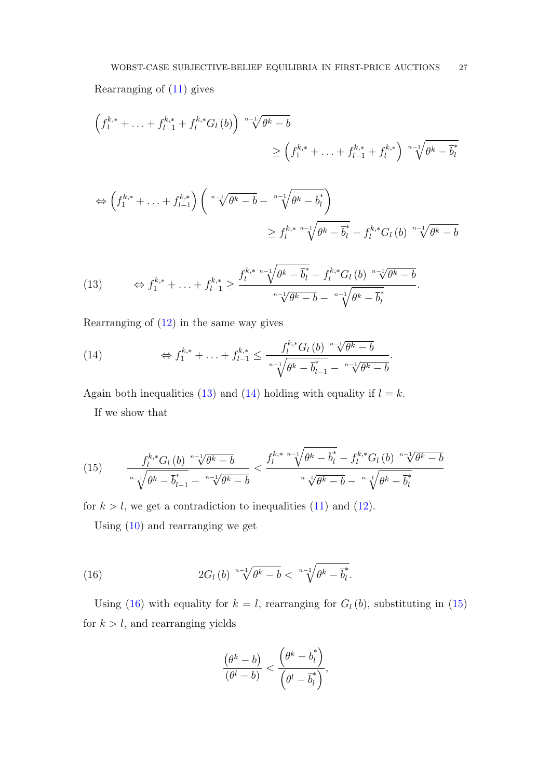Rearranging of [\(11\)](#page-25-0) gives

$$
\left(f_1^{k,*} + \ldots + f_{l-1}^{k,*} + f_l^{k,*} G_l (b)\right) \sqrt[n-1]{\theta^k - b}
$$
\n
$$
\geq \left(f_1^{k,*} + \ldots + f_{l-1}^{k,*} + f_l^{k,*}\right) \sqrt[n-1]{\theta^k - b_l}
$$

$$
\Leftrightarrow \left(f_1^{k,*} + \ldots + f_{l-1}^{k,*}\right) \left(\sqrt[n-1]{\theta^k - b} - \sqrt[n-1]{\theta^k - \overline{b}_l^*}\right)
$$
  

$$
\geq f_l^{k,*} \sqrt[n-1]{\theta^k - \overline{b}_l^*} - f_l^{k,*} G_l(b) \sqrt[n-1]{\theta^k - b}
$$

<span id="page-26-0"></span>(13) 
$$
\Leftrightarrow f_1^{k,*} + \ldots + f_{l-1}^{k,*} \ge \frac{f_l^{k,*} \sqrt[n-1]{\theta^k - \overline{b}_l^*} - f_l^{k,*} G_l(b) \sqrt[n-1]{\theta^k - b}}{\sqrt[n-1]{\theta^k - \overline{b}} - \sqrt[n-1]{\theta^k - \overline{b}_l^*}}.
$$

Rearranging of [\(12\)](#page-25-1) in the same way gives

<span id="page-26-1"></span>(14) 
$$
\Leftrightarrow f_1^{k,*} + \ldots + f_{l-1}^{k,*} \leq \frac{f_l^{k,*} G_l(b)^{-n-\sqrt{l}} \theta^k - b}{\sqrt[l]{\theta^k - \overline{b}_{l-1}^* - \sqrt[n-\sqrt{l}} \theta^k - b}.
$$

Again both inequalities [\(13\)](#page-26-0) and [\(14\)](#page-26-1) holding with equality if  $l = k$ .

If we show that

<span id="page-26-3"></span>(15) 
$$
\frac{f_l^{k,*} G_l(b)^{-n-1} \sqrt{\theta^k - b}}{\sqrt[n-1]{\theta^k - b} \sqrt[n-1]{\theta^k - b}} \frac{f_l^{k,*}}{\sqrt[n-1]{\theta^k - b}} \frac{f_l^{k,*}}{\sqrt[n-1]{\theta^k - b}}}{\sqrt[n-1]{\theta^k - b}} - \frac{f_l^{k,*} G_l(b)^{-n-1} \sqrt{\theta^k - b}}{\sqrt[n-1]{\theta^k - b}}}
$$

for  $k > l$ , we get a contradiction to inequalities [\(11\)](#page-25-0) and [\(12\)](#page-25-1).

Using [\(10\)](#page-25-2) and rearranging we get

(16) 
$$
2G_l(b) \sqrt[n-1]{\theta^k - b} < \sqrt[n-1]{\theta^k - \overline{b}_l^*}.
$$

Using [\(16\)](#page-26-2) with equality for  $k = l$ , rearranging for  $G_l (b)$ , substituting in [\(15\)](#page-26-3) for  $k > l$ , and rearranging yields

<span id="page-26-2"></span>
$$
\frac{(\theta^k - b)}{(\theta^l - b)} < \frac{\left(\theta^k - \overline{b}_l^*\right)}{\left(\theta^l - \overline{b}_l^*\right)},
$$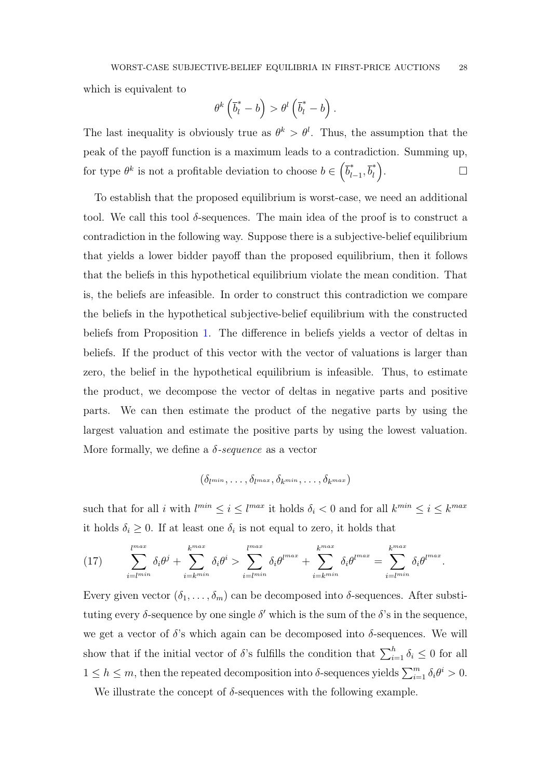which is equivalent to

$$
\theta^k\left(\overline{b}_l^*-b\right)>\theta^l\left(\overline{b}_l^*-b\right).
$$

The last inequality is obviously true as  $\theta^k > \theta^l$ . Thus, the assumption that the peak of the payoff function is a maximum leads to a contradiction. Summing up, for type  $\theta^k$  is not a profitable deviation to choose  $b \in \left(\overline{b}_l^*\right)$ \* $\bar{b}_l^*$ ,  $\bar{b}_l^*$  $\binom{1}{l}$ . — Первый проста проста проста проста проста проста проста проста проста проста проста проста проста проста п<br>В 1990 году стала проста проста проста проста проста проста проста проста проста проста проста проста проста п

To establish that the proposed equilibrium is worst-case, we need an additional tool. We call this tool  $\delta$ -sequences. The main idea of the proof is to construct a contradiction in the following way. Suppose there is a subjective-belief equilibrium that yields a lower bidder payoff than the proposed equilibrium, then it follows that the beliefs in this hypothetical equilibrium violate the mean condition. That is, the beliefs are infeasible. In order to construct this contradiction we compare the beliefs in the hypothetical subjective-belief equilibrium with the constructed beliefs from Proposition [1.](#page-13-0) The difference in beliefs yields a vector of deltas in beliefs. If the product of this vector with the vector of valuations is larger than zero, the belief in the hypothetical equilibrium is infeasible. Thus, to estimate the product, we decompose the vector of deltas in negative parts and positive parts. We can then estimate the product of the negative parts by using the largest valuation and estimate the positive parts by using the lowest valuation. More formally, we define a  $\delta$ -sequence as a vector

$$
(\delta_{l^{min}},\ldots,\delta_{l^{max}},\delta_{k^{min}},\ldots,\delta_{k^{max}})
$$

such that for all i with  $l^{min} \leq i \leq l^{max}$  it holds  $\delta_i < 0$  and for all  $k^{min} \leq i \leq k^{max}$ it holds  $\delta_i \geq 0$ . If at least one  $\delta_i$  is not equal to zero, it holds that

<span id="page-27-0"></span>(17) 
$$
\sum_{i=l^{min}}^{l^{max}} \delta_i \theta^j + \sum_{i=l^{min}}^{k^{max}} \delta_i \theta^i > \sum_{i=l^{min}}^{l^{max}} \delta_i \theta^{l^{max}} + \sum_{i=l^{min}}^{k^{max}} \delta_i \theta^{l^{max}} = \sum_{i=l^{min}}^{k^{max}} \delta_i \theta^{l^{max}}.
$$

Every given vector  $(\delta_1, \ldots, \delta_m)$  can be decomposed into  $\delta$ -sequences. After substituting every  $\delta$ -sequence by one single  $\delta'$  which is the sum of the  $\delta$ 's in the sequence, we get a vector of  $\delta$ 's which again can be decomposed into  $\delta$ -sequences. We will show that if the initial vector of  $\delta$ 's fulfills the condition that  $\sum_{i=1}^{h} \delta_i \leq 0$  for all  $1 \leq h \leq m$ , then the repeated decomposition into  $\delta$ -sequences yields  $\sum_{i=1}^{m} \delta_i \theta^i > 0$ .

We illustrate the concept of  $\delta$ -sequences with the following example.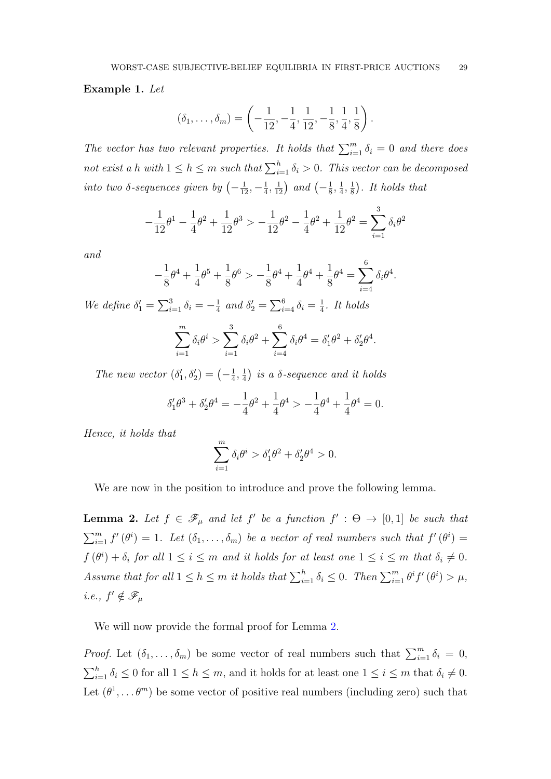### Example 1. Let

$$
(\delta_1,\ldots,\delta_m)=\left(-\frac{1}{12},-\frac{1}{4},\frac{1}{12},-\frac{1}{8},\frac{1}{4},\frac{1}{8}\right).
$$

The vector has two relevant properties. It holds that  $\sum_{i=1}^{m} \delta_i = 0$  and there does not exist a h with  $1 \leq h \leq m$  such that  $\sum_{i=1}^{h} \delta_i > 0$ . This vector can be decomposed into two  $\delta$ -sequences given by  $\left(-\frac{1}{12}, -\frac{1}{4}\right)$  $(\frac{1}{4}, \frac{1}{12})$  and  $(-\frac{1}{8})$  $\frac{1}{8}, \frac{1}{4}$  $\frac{1}{4}, \frac{1}{8}$  $(\frac{1}{8})$ . It holds that

$$
-\frac{1}{12}\theta^1 - \frac{1}{4}\theta^2 + \frac{1}{12}\theta^3 > -\frac{1}{12}\theta^2 - \frac{1}{4}\theta^2 + \frac{1}{12}\theta^2 = \sum_{i=1}^3 \delta_i \theta^2
$$

and

$$
-\frac{1}{8}\theta^4 + \frac{1}{4}\theta^5 + \frac{1}{8}\theta^6 > -\frac{1}{8}\theta^4 + \frac{1}{4}\theta^4 + \frac{1}{8}\theta^4 = \sum_{i=4}^6 \delta_i \theta^4.
$$

We define  $\delta_1' = \sum_{i=1}^3 \delta_i = -\frac{1}{4}$  $\frac{1}{4}$  and  $\delta'_2 = \sum_{i=4}^6 \delta_i = \frac{1}{4}$  $rac{1}{4}$ . It holds

$$
\sum_{i=1}^{m} \delta_i \theta^i > \sum_{i=1}^{3} \delta_i \theta^2 + \sum_{i=4}^{6} \delta_i \theta^4 = \delta_1' \theta^2 + \delta_2' \theta^4.
$$

The new vector  $(\delta_1', \delta_2') = \begin{pmatrix} -\frac{1}{4} \end{pmatrix}$  $\frac{1}{4}, \frac{1}{4}$  $\frac{1}{4}$ ) is a  $\delta$ -sequence and it holds

$$
\delta_1' \theta^3 + \delta_2' \theta^4 = -\frac{1}{4} \theta^2 + \frac{1}{4} \theta^4 > -\frac{1}{4} \theta^4 + \frac{1}{4} \theta^4 = 0.
$$

Hence, it holds that

$$
\sum_{i=1}^{m} \delta_i \theta^i > \delta'_1 \theta^2 + \delta'_2 \theta^4 > 0.
$$

<span id="page-28-0"></span>We are now in the position to introduce and prove the following lemma.

**Lemma 2.** Let  $f \in \mathscr{F}_{\mu}$  and let  $f'$  be a function  $f' : \Theta \to [0,1]$  be such that  $\sum_{i=1}^{m} f'(\theta^i) = 1$ . Let  $(\delta_1, \ldots, \delta_m)$  be a vector of real numbers such that  $f'(\theta^i) =$  $f(\theta^i) + \delta_i$  for all  $1 \leq i \leq m$  and it holds for at least one  $1 \leq i \leq m$  that  $\delta_i \neq 0$ . Assume that for all  $1 \leq h \leq m$  it holds that  $\sum_{i=1}^{h} \delta_i \leq 0$ . Then  $\sum_{i=1}^{m} \theta^i f'(\theta^i) > \mu$ , *i.e.*,  $f' \notin \mathscr{F}_{\mu}$ 

We will now provide the formal proof for Lemma [2.](#page-28-0)

*Proof.* Let  $(\delta_1, \ldots, \delta_m)$  be some vector of real numbers such that  $\sum_{i=1}^m \delta_i = 0$ ,  $\sum_{i=1}^{h} \delta_i \leq 0$  for all  $1 \leq h \leq m$ , and it holds for at least one  $1 \leq i \leq m$  that  $\delta_i \neq 0$ . Let  $(\theta^1, \dots, \theta^m)$  be some vector of positive real numbers (including zero) such that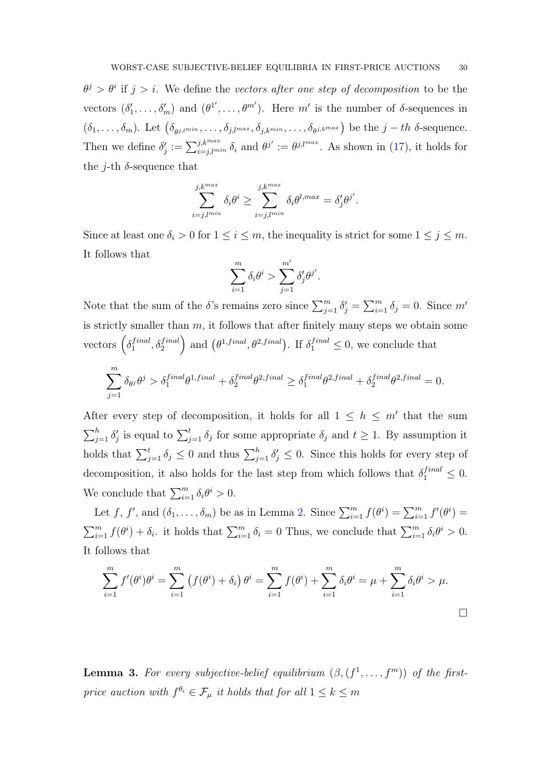$\theta^j > \theta^i$  if  $j > i$ . We define the vectors after one step of decomposition to be the vectors  $(\delta'_1,\ldots,\delta'_m)$  and  $(\theta^{1'},\ldots,\theta^{m'})$ . Here m' is the number of  $\delta$ -sequences in  $(\delta_1,\ldots,\delta_m)$ . Let  $(\delta_{\theta^{j, lmin}},\ldots,\delta_{j, l^{max}},\delta_{j, k^{min}},\ldots,\delta_{\theta^{j,k^{max}}})$  be the  $j-th$   $\delta$ -sequence. Then we define  $\delta'_j := \sum_{i=j,l}^{j,k^{max}} \delta_i$  and  $\theta^{j'} := \theta^{j,l^{max}}$ . As shown in [\(17\)](#page-27-0), it holds for the *j*-th  $\delta$ -sequence that

$$
\sum_{i=j, l^{min}}^{j, k^{max}} \delta_i \theta^i \ge \sum_{i=j, l^{min}}^{j, k^{max}} \delta_i \theta^{l, max} = \delta'_j \theta^{j'}.
$$

Since at least one  $\delta_i > 0$  for  $1 \leq i \leq m$ , the inequality is strict for some  $1 \leq j \leq m$ . It follows that

$$
\sum_{i=1}^m \delta_i \theta^i > \sum_{j=1}^{m'} \delta'_j \theta^{j'}.
$$

Note that the sum of the  $\delta$ 's remains zero since  $\sum_{j=1}^m \delta_j = \sum_{i=1}^m \delta_i = 0$ . Since m' is strictly smaller than  $m$ , it follows that after finitely many steps we obtain some vectors  $\left(\delta_1^{final}\right)$  $\binom{final}{1}, \delta_2^{final}$  and  $(\theta^{1,final}, \theta^{2,final})$ . If  $\delta_1^{final} \leq 0$ , we conclude that

$$
\sum_{j=1}^{m} \delta_{\theta^{j}} \theta^{j} > \delta_{1}^{final} \theta^{1,final} + \delta_{2}^{final} \theta^{2,final} \geq \delta_{1}^{final} \theta^{2,final} + \delta_{2}^{final} \theta^{2,final} = 0.
$$

After every step of decomposition, it holds for all  $1 \leq h \leq m'$  that the sum  $\sum_{j=1}^h \delta'_j$  is equal to  $\sum_{j=1}^t \delta_j$  for some appropriate  $\delta_j$  and  $t \geq 1$ . By assumption it holds that  $\sum_{j=1}^t \delta_j \leq 0$  and thus  $\sum_{j=1}^h \delta'_j \leq 0$ . Since this holds for every step of decomposition, it also holds for the last step from which follows that  $\delta_1^{final} \leq 0$ . We conclude that  $\sum_{i=1}^{m} \delta_i \theta^i > 0$ .

Let f, f', and  $(\delta_1, \ldots, \delta_m)$  be as in Lemma [2.](#page-28-0) Since  $\sum_{i=1}^m f(\theta^i) = \sum_{i=1}^m f'(\theta^i) =$  $\sum_{i=1}^{m} f(\theta^i) + \delta_i$  it holds that  $\sum_{i=1}^{m} \delta_i = 0$  Thus, we conclude that  $\sum_{i=1}^{m} \delta_i \theta^i > 0$ . It follows that

$$
\sum_{i=1}^{m} f'(\theta^i) \theta^i = \sum_{i=1}^{m} (f(\theta^i) + \delta_i) \theta^i = \sum_{i=1}^{m} f(\theta^i) + \sum_{i=1}^{m} \delta_i \theta^i = \mu + \sum_{i=1}^{m} \delta_i \theta^i > \mu.
$$

<span id="page-29-0"></span>**Lemma 3.** For every subjective-belief equilibrium  $(\beta, (f^1, \ldots, f^m))$  of the firstprice auction with  $f^{\theta_i} \in \mathcal{F}_{\mu}$  it holds that for all  $1 \leq k \leq m$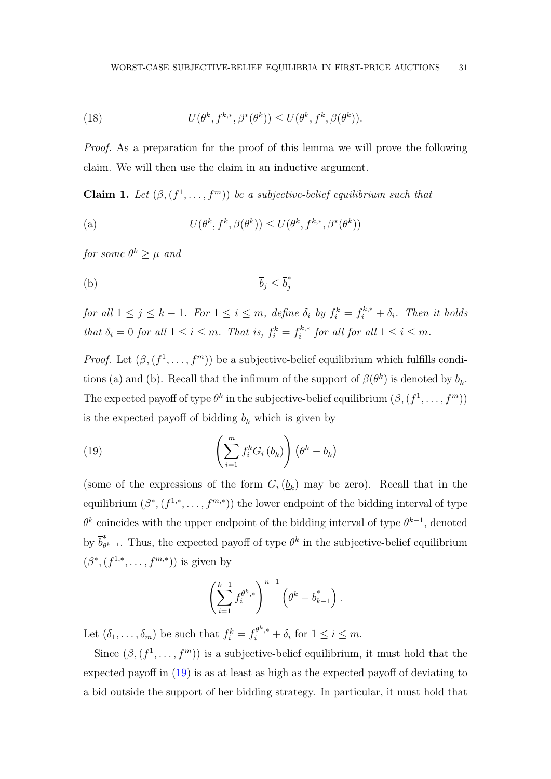<span id="page-30-1"></span>(18) 
$$
U(\theta^k, f^{k,*}, \beta^*(\theta^k)) \leq U(\theta^k, f^k, \beta(\theta^k)).
$$

Proof. As a preparation for the proof of this lemma we will prove the following claim. We will then use the claim in an inductive argument.

<span id="page-30-2"></span>**Claim 1.** Let  $(\beta, (f^1, \ldots, f^m))$  be a subjective-belief equilibrium such that

<span id="page-30-0"></span>(a) 
$$
U(\theta^k, f^k, \beta(\theta^k)) \leq U(\theta^k, f^{k,*}, \beta^*(\theta^k))
$$

for some  $\theta^k \geq \mu$  and

$$
\bar{b}_j \leq \bar{b}_j^*
$$

for all  $1 \leq j \leq k-1$ . For  $1 \leq i \leq m$ , define  $\delta_i$  by  $f_i^k = f_i^{k,*} + \delta_i$ . Then it holds that  $\delta_i = 0$  for all  $1 \leq i \leq m$ . That is,  $f_i^k = f_i^{k,*}$  $i^{k,*}$  for all for all  $1 \leq i \leq m$ .

*Proof.* Let  $(\beta, (f^1, \ldots, f^m))$  be a subjective-belief equilibrium which fulfills conditions (a) and (b). Recall that the infimum of the support of  $\beta(\theta^k)$  is denoted by  $\underline{b}_k$ . The expected payoff of type  $\theta^k$  in the subjective-belief equilibrium  $(\beta, (f^1, \ldots, f^m))$ is the expected payoff of bidding  $\underline{b}_k$  which is given by

(19) 
$$
\left(\sum_{i=1}^{m} f_i^k G_i \left(\underline{b}_k\right)\right) \left(\theta^k - \underline{b}_k\right)
$$

(some of the expressions of the form  $G_i(\underline{b}_k)$  may be zero). Recall that in the equilibrium  $(\beta^*, (f^{1,*}, \ldots, f^{m,*}))$  the lower endpoint of the bidding interval of type  $\theta^k$  coincides with the upper endpoint of the bidding interval of type  $\theta^{k-1}$ , denoted by  $\overline{b}_{\theta}^*$ <sup>\*</sup><sub> $\theta^{k-1}$ </sub>. Thus, the expected payoff of type  $\theta^k$  in the subjective-belief equilibrium  $(\beta^*, (f^{1,*}, \ldots, f^{m,*}))$  is given by

$$
\left(\sum_{i=1}^{k-1} f_i^{\theta^k,*}\right)^{n-1} \left(\theta^k - \overline{b}_{k-1}^*\right).
$$

Let  $(\delta_1, \ldots, \delta_m)$  be such that  $f_i^k = f_i^{\theta^k,*} + \delta_i$  for  $1 \leq i \leq m$ .

Since  $(\beta, (f^1, \ldots, f^m))$  is a subjective-belief equilibrium, it must hold that the expected payoff in [\(19\)](#page-30-0) is as at least as high as the expected payoff of deviating to a bid outside the support of her bidding strategy. In particular, it must hold that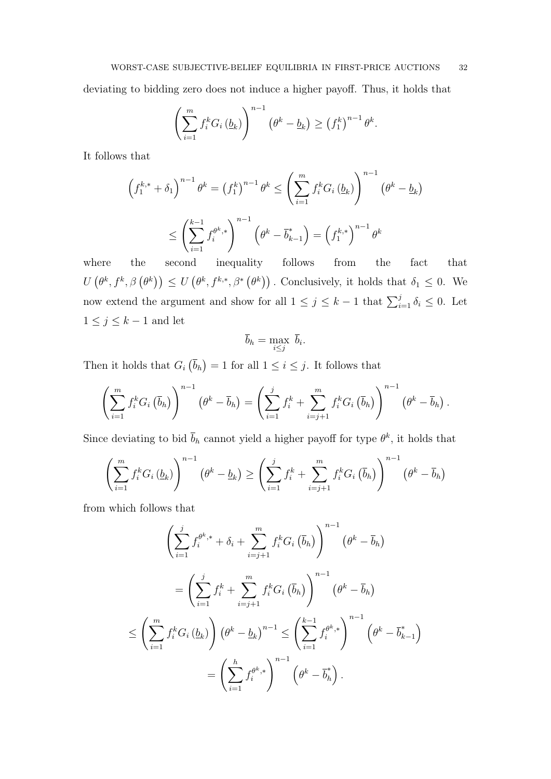deviating to bidding zero does not induce a higher payoff. Thus, it holds that

$$
\left(\sum_{i=1}^m f_i^k G_i\left(\underline{b}_k\right)\right)^{n-1} \left(\theta^k - \underline{b}_k\right) \ge \left(f_1^k\right)^{n-1} \theta^k.
$$

It follows that

$$
\left(f_1^{k,*} + \delta_1\right)^{n-1} \theta^k = \left(f_1^k\right)^{n-1} \theta^k \le \left(\sum_{i=1}^m f_i^k G_i\left(\underline{b}_k\right)\right)^{n-1} \left(\theta^k - \underline{b}_k\right)
$$

$$
\le \left(\sum_{i=1}^{k-1} f_i^{\theta^k,*}\right)^{n-1} \left(\theta^k - \overline{b}_{k-1}^*\right) = \left(f_1^{k,*}\right)^{n-1} \theta^k
$$

where the second inequality follows from the fact that  $U(\theta^k, f^k, \beta(\theta^k)) \leq U(\theta^k, f^{k,*}, \beta^*(\theta^k))$ . Conclusively, it holds that  $\delta_1 \leq 0$ . We now extend the argument and show for all  $1 \leq j \leq k-1$  that  $\sum_{i=1}^{j} \delta_i \leq 0$ . Let  $1\leq j\leq k-1$  and let

$$
\overline{b}_h = \max_{i \le j} \overline{b}_i.
$$

Then it holds that  $G_i(\bar{b}_h) = 1$  for all  $1 \leq i \leq j$ . It follows that

$$
\left(\sum_{i=1}^m f_i^k G_i\left(\overline{b}_h\right)\right)^{n-1} \left(\theta^k - \overline{b}_h\right) = \left(\sum_{i=1}^j f_i^k + \sum_{i=j+1}^m f_i^k G_i\left(\overline{b}_h\right)\right)^{n-1} \left(\theta^k - \overline{b}_h\right).
$$

Since deviating to bid  $\bar{b}_h$  cannot yield a higher payoff for type  $\theta^k$ , it holds that

$$
\left(\sum_{i=1}^{m} f_i^k G_i \left(\underline{b}_k\right)\right)^{n-1} \left(\theta^k - \underline{b}_k\right) \ge \left(\sum_{i=1}^{j} f_i^k + \sum_{i=j+1}^{m} f_i^k G_i \left(\overline{b}_h\right)\right)^{n-1} \left(\theta^k - \overline{b}_h\right)
$$

from which follows that

$$
\left(\sum_{i=1}^{j} f_{i}^{\theta^{k},*} + \delta_{i} + \sum_{i=j+1}^{m} f_{i}^{k} G_{i} (\bar{b}_{h})\right)^{n-1} (\theta^{k} - \bar{b}_{h})
$$
\n
$$
= \left(\sum_{i=1}^{j} f_{i}^{k} + \sum_{i=j+1}^{m} f_{i}^{k} G_{i} (\bar{b}_{h})\right)^{n-1} (\theta^{k} - \bar{b}_{h})
$$
\n
$$
\leq \left(\sum_{i=1}^{m} f_{i}^{k} G_{i} (\underline{b}_{k})\right) (\theta^{k} - \underline{b}_{k})^{n-1} \leq \left(\sum_{i=1}^{k-1} f_{i}^{\theta^{k},*}\right)^{n-1} (\theta^{k} - \bar{b}_{k-1}^{*})
$$
\n
$$
= \left(\sum_{i=1}^{h} f_{i}^{\theta^{k},*}\right)^{n-1} (\theta^{k} - \bar{b}_{h}^{*}).
$$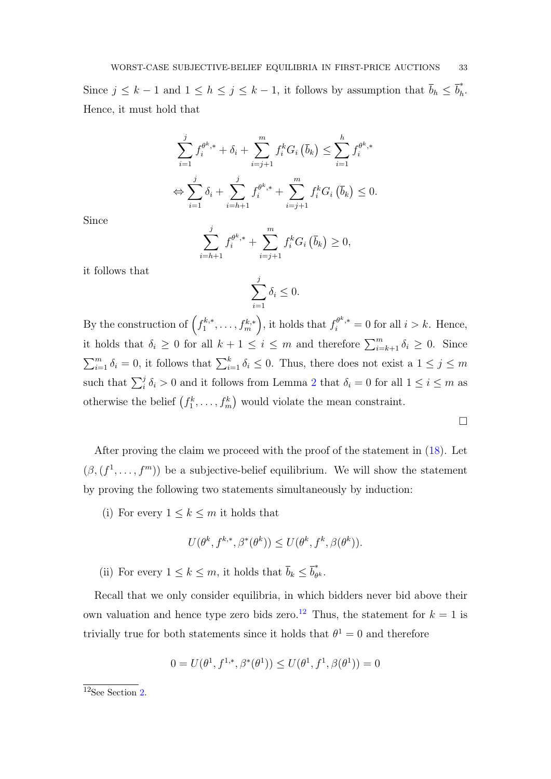Since  $j \leq k-1$  and  $1 \leq h \leq j \leq k-1$ , it follows by assumption that  $\bar{b}_h \leq \bar{b}_h^*$  $\int_h$ . Hence, it must hold that

$$
\sum_{i=1}^{j} f_i^{\theta^k,*} + \delta_i + \sum_{i=j+1}^{m} f_i^k G_i (\bar{b}_k) \le \sum_{i=1}^{h} f_i^{\theta^k,*}
$$
  

$$
\Leftrightarrow \sum_{i=1}^{j} \delta_i + \sum_{i=h+1}^{j} f_i^{\theta^k,*} + \sum_{i=j+1}^{m} f_i^k G_i (\bar{b}_k) \le 0.
$$

Since

$$
\sum_{i=h+1}^{j} f_i^{\theta^k,*} + \sum_{i=j+1}^{m} f_i^k G_i \left( \overline{b}_k \right) \ge 0,
$$

it follows that

$$
\sum_{i=1}^{j} \delta_i \le 0.
$$

By the construction of  $\left(f_1^{k,*}\right)$  $\left( \begin{array}{c} k^{k,*}, \ldots, f_m^{k,*} \end{array} \right)$ , it holds that  $f_i^{\theta^k,*} = 0$  for all  $i > k$ . Hence, it holds that  $\delta_i \geq 0$  for all  $k+1 \leq i \leq m$  and therefore  $\sum_{i=k+1}^{m} \delta_i \geq 0$ . Since  $\sum_{i=1}^{m} \delta_i = 0$ , it follows that  $\sum_{i=1}^{k} \delta_i \leq 0$ . Thus, there does not exist a  $1 \leq j \leq m$ such that  $\sum_{i}^{j} \delta_i > 0$  and it follows from Lemma [2](#page-28-0) that  $\delta_i = 0$  for all  $1 \leq i \leq m$  as otherwise the belief  $(f_1^k, \ldots, f_m^k)$  would violate the mean constraint.

 $\Box$ 

After proving the claim we proceed with the proof of the statement in [\(18\)](#page-30-1). Let  $(\beta, (f^1, \ldots, f^m))$  be a subjective-belief equilibrium. We will show the statement by proving the following two statements simultaneously by induction:

(i) For every  $1 \leq k \leq m$  it holds that

$$
U(\theta^k, f^{k,*}, \beta^*(\theta^k)) \le U(\theta^k, f^k, \beta(\theta^k)).
$$

(ii) For every  $1 \leq k \leq m$ , it holds that  $\overline{b}_k \leq \overline{b}_\theta^*$  $\overset{\scriptscriptstyle\pi}{\theta^k}\cdot$ 

Recall that we only consider equilibria, in which bidders never bid above their own valuation and hence type zero bids zero.<sup>[12](#page-32-0)</sup> Thus, the statement for  $k = 1$  is trivially true for both statements since it holds that  $\theta^1 = 0$  and therefore

$$
0 = U(\theta^1, f^{1,*}, \beta^*(\theta^1)) \le U(\theta^1, f^1, \beta(\theta^1)) = 0
$$

<span id="page-32-0"></span> $12$ See Section [2.](#page-6-0)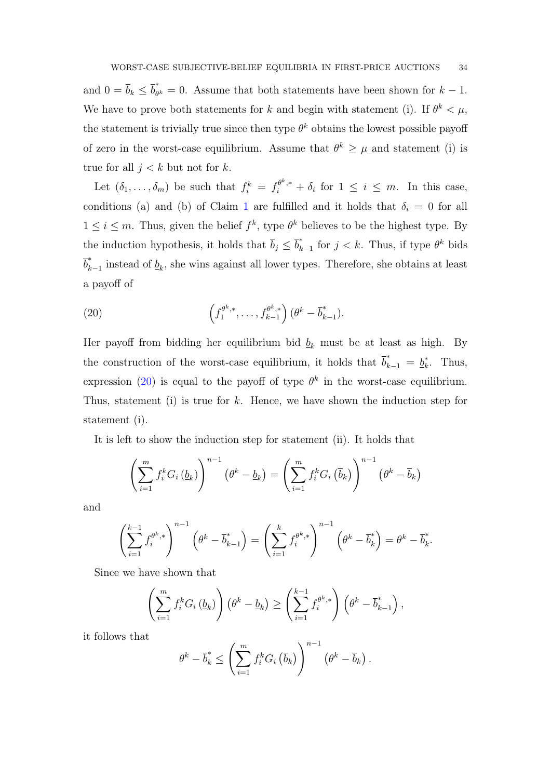and  $0 = \overline{b}_k \leq \overline{b}_{\theta}^*$  $\hat{\theta}_{\theta^k} = 0$ . Assume that both statements have been shown for  $k - 1$ . We have to prove both statements for k and begin with statement (i). If  $\theta^k < \mu$ , the statement is trivially true since then type  $\theta^k$  obtains the lowest possible payoff of zero in the worst-case equilibrium. Assume that  $\theta^k \geq \mu$  and statement (i) is true for all  $j < k$  but not for k.

Let  $(\delta_1,\ldots,\delta_m)$  be such that  $f_i^k = f_i^{\theta^k,*} + \delta_i$  for  $1 \leq i \leq m$ . In this case, conditions (a) and (b) of Claim [1](#page-30-2) are fulfilled and it holds that  $\delta_i = 0$  for all  $1 \leq i \leq m$ . Thus, given the belief  $f^k$ , type  $\theta^k$  believes to be the highest type. By the induction hypothesis, it holds that  $\bar{b}_j \leq \bar{b}_k^*$  $\int_{k-1}^*$  for  $j < k$ . Thus, if type  $\theta^k$  bids  $\overline{b}_k^*$  $\int_{k-1}^{\infty}$  instead of  $\underline{b}_k$ , she wins against all lower types. Therefore, she obtains at least a payoff of

<span id="page-33-0"></span>(20) 
$$
\left(f_1^{\theta^k,*}, \ldots, f_{k-1}^{\theta^k,*}\right) (\theta^k - \overline{b}_{k-1}^*).
$$

Her payoff from bidding her equilibrium bid  $\underline{b}_k$  must be at least as high. By the construction of the worst-case equilibrium, it holds that  $\overline{b}_{k-1}^* = b_k^*$  $\stackrel{*}{k}$ . Thus, expression [\(20\)](#page-33-0) is equal to the payoff of type  $\theta^k$  in the worst-case equilibrium. Thus, statement (i) is true for  $k$ . Hence, we have shown the induction step for statement (i).

It is left to show the induction step for statement (ii). It holds that

$$
\left(\sum_{i=1}^m f_i^k G_i \left(\underline{b}_k\right)\right)^{n-1} \left(\theta^k - \underline{b}_k\right) = \left(\sum_{i=1}^m f_i^k G_i \left(\overline{b}_k\right)\right)^{n-1} \left(\theta^k - \overline{b}_k\right)
$$

and

$$
\left(\sum_{i=1}^{k-1} f_i^{\theta^k,*}\right)^{n-1} \left(\theta^k - \overline{b}_{k-1}^*\right) = \left(\sum_{i=1}^k f_i^{\theta^k,*}\right)^{n-1} \left(\theta^k - \overline{b}_k^*\right) = \theta^k - \overline{b}_k^*.
$$

Since we have shown that

$$
\left(\sum_{i=1}^m f_i^k G_i \left(\underline{b}_k\right)\right) \left(\theta^k - \underline{b}_k\right) \ge \left(\sum_{i=1}^{k-1} f_i^{\theta^k,*}\right) \left(\theta^k - \overline{b}_{k-1}^*\right),
$$

it follows that

$$
\theta^k - \overline{b}_k^* \le \left(\sum_{i=1}^m f_i^k G_i\left(\overline{b}_k\right)\right)^{n-1} \left(\theta^k - \overline{b}_k\right).
$$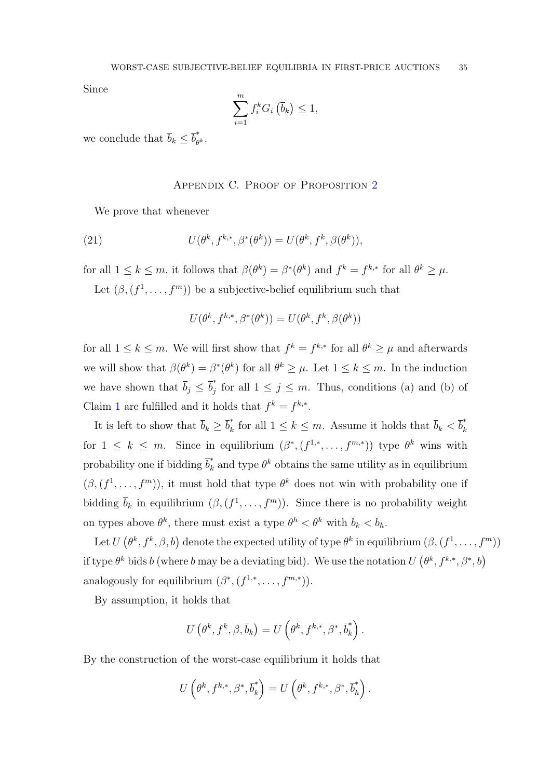Since

$$
\sum_{i=1}^{m} f_i^k G_i \left( \overline{b}_k \right) \leq 1,
$$

we conclude that  $\bar{b}_k \leq \bar{b}^*_{\theta}$  $_{\theta^k}^{\scriptscriptstyle +}$  .

#### APPENDIX C. PROOF OF PROPOSITION [2](#page-16-1)

We prove that whenever

(21) 
$$
U(\theta^k, f^{k,*}, \beta^*(\theta^k)) = U(\theta^k, f^k, \beta(\theta^k)),
$$

for all  $1 \leq k \leq m$ , it follows that  $\beta(\theta^k) = \beta^*(\theta^k)$  and  $f^k = f^{k,*}$  for all  $\theta^k \geq \mu$ .

Let  $(\beta, (f^1, \ldots, f^m))$  be a subjective-belief equilibrium such that

$$
U(\theta^k, f^{k,*}, \beta^*(\theta^k)) = U(\theta^k, f^k, \beta(\theta^k))
$$

for all  $1 \leq k \leq m$ . We will first show that  $f^k = f^{k,*}$  for all  $\theta^k \geq \mu$  and afterwards we will show that  $\beta(\theta^k) = \beta^*(\theta^k)$  for all  $\theta^k \geq \mu$ . Let  $1 \leq k \leq m$ . In the induction we have shown that  $\bar{b}_j \leq \bar{b}_j^*$  $\int_j$  for all  $1 \leq j \leq m$ . Thus, conditions (a) and (b) of Claim [1](#page-30-2) are fulfilled and it holds that  $f^k = f^{k,*}$ .

It is left to show that  $\bar{b}_k \geq \bar{b}_k^*$ <sup>\*</sup><sub>k</sub> for all  $1 \leq k \leq m$ . Assume it holds that  $\overline{b}_k < \overline{b}_k^*$ k for  $1 \leq k \leq m$ . Since in equilibrium  $(\beta^*, (f^{1,*}, \ldots, f^{m,*}))$  type  $\theta^k$  wins with probability one if bidding  $\overline{b}_k^*$  $\frac{k}{k}$  and type  $\theta^k$  obtains the same utility as in equilibrium  $(\beta, (f^1, \ldots, f^m))$ , it must hold that type  $\theta^k$  does not win with probability one if bidding  $\bar{b}_k$  in equilibrium  $(\beta, (f^1, \ldots, f^m))$ . Since there is no probability weight on types above  $\theta^k$ , there must exist a type  $\theta^h < \theta^k$  with  $\bar{b}_k < \bar{b}_h$ .

Let  $U(\theta^k, f^k, \beta, b)$  denote the expected utility of type  $\theta^k$  in equilibrium  $(\beta, (f^1, \ldots, f^m))$ if type  $\theta^k$  bids b (where b may be a deviating bid). We use the notation  $U(\theta^k, f^{k,*}, \beta^*, b)$ analogously for equilibrium  $(\beta^*, (f^{1,*}, \ldots, f^{m,*}))$ .

By assumption, it holds that

$$
U\left(\theta^k, f^k, \beta, \overline{b}_k\right) = U\left(\theta^k, f^{k,*}, \beta^*, \overline{b}_k^*\right).
$$

By the construction of the worst-case equilibrium it holds that

$$
U\left(\theta^k, f^{k,*}, \beta^*, \overline{b}_k^*\right) = U\left(\theta^k, f^{k,*}, \beta^*, \overline{b}_h^*\right).
$$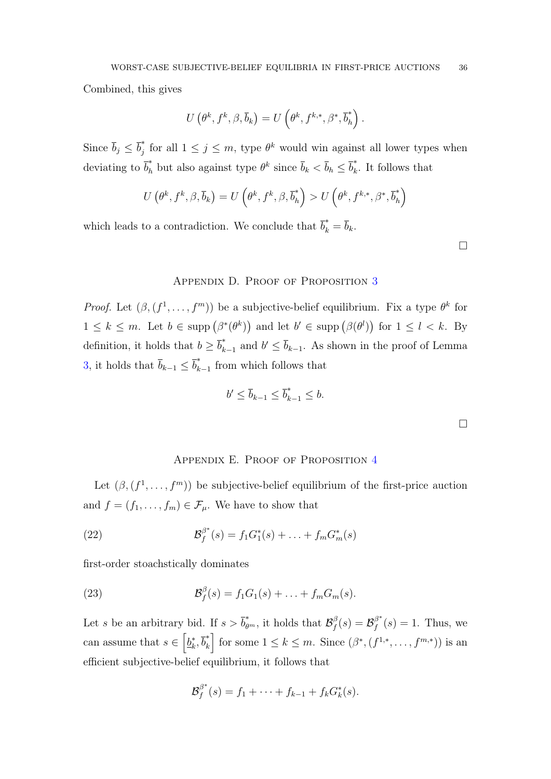Combined, this gives

$$
U\left(\theta^k, f^k, \beta, \overline{b}_k\right) = U\left(\theta^k, f^{k,*}, \beta^*, \overline{b}_h^*\right).
$$

Since  $\overline{b}_j \leq \overline{b}_j^*$ for all  $1 \leq j \leq m$ , type  $\theta^k$  would win against all lower types when deviating to  $\bar{b}_h^*$  but also against type  $\theta^k$  since  $\bar{b}_k < \bar{b}_h \leq \bar{b}_k^*$  $\hat{k}$ . It follows that

$$
U\left(\theta^k, f^k, \beta, \overline{b}_k\right) = U\left(\theta^k, f^k, \beta, \overline{b}_h^*\right) > U\left(\theta^k, f^{k,*}, \beta^*, \overline{b}_h^*\right)
$$

which leads to a contradiction. We conclude that  $\overline{b}_k^* = \overline{b}_k$ .

 $\Box$ 

 $\Box$ 

# APPENDIX D. PROOF OF PROPOSITION [3](#page-17-0)

*Proof.* Let  $(\beta, (f^1, \ldots, f^m))$  be a subjective-belief equilibrium. Fix a type  $\theta^k$  for  $1 \leq k \leq m$ . Let  $b \in \text{supp}(\beta^*(\theta^k))$  and let  $b' \in \text{supp}(\beta(\theta^l))$  for  $1 \leq l \leq k$ . By definition, it holds that  $b \geq \overline{b}_k^*$  $\bar{b}_{k-1}^*$  and  $b' \leq \bar{b}_{k-1}$ . As shown in the proof of Lemma [3,](#page-29-0) it holds that  $\bar{b}_{k-1} \leq \bar{b}_k^*$  $\int_{k-1}^{\infty}$  from which follows that

$$
b' \le \overline{b}_{k-1} \le \overline{b}_{k-1}^* \le b.
$$

### APPENDIX E. PROOF OF PROPOSITION [4](#page-18-0)

Let  $(\beta, (f^1, \ldots, f^m))$  be subjective-belief equilibrium of the first-price auction and  $f = (f_1, \ldots, f_m) \in \mathcal{F}_{\mu}$ . We have to show that

(22) 
$$
\mathcal{B}_f^{\beta^*}(s) = f_1 G_1^*(s) + \ldots + f_m G_m^*(s)
$$

first-order stoachstically dominates

(23) 
$$
\mathcal{B}_f^{\beta}(s) = f_1 G_1(s) + \ldots + f_m G_m(s).
$$

Let s be an arbitrary bid. If  $s > \overline{b}_{\theta^m}^*$ , it holds that  $\mathcal{B}_f^{\beta}$  $\beta_f^{\beta}(s) = \mathcal{B}_f^{\beta^*}$  $f_f^{\beta^*}(s) = 1$ . Thus, we can assume that  $s \in \left[\underline{b}_k^*\right]$  $\bar{b}_k^*, \bar{b}_k^*$  $\mathbb{R}^*$  for some  $1 \leq k \leq m$ . Since  $(\beta^*, (f^{1,*}, \ldots, f^{m,*}))$  is an efficient subjective-belief equilibrium, it follows that

$$
\mathcal{B}_f^{\beta^*}(s) = f_1 + \cdots + f_{k-1} + f_k G_k^*(s).
$$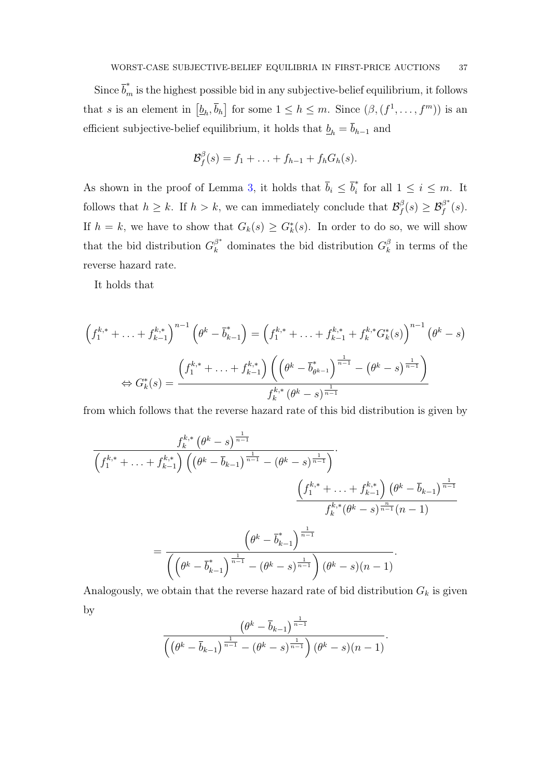Since  $\overline{b}_m^*$  is the highest possible bid in any subjective-belief equilibrium, it follows that s is an element in  $[\underline{b}_h, \overline{b}_h]$  for some  $1 \leq h \leq m$ . Since  $(\beta, (f^1, \ldots, f^m))$  is an efficient subjective-belief equilibrium, it holds that  $\underline{b}_h = \overline{b}_{h-1}$  and

$$
\mathcal{B}_f^{\beta}(s) = f_1 + \ldots + f_{h-1} + f_h G_h(s).
$$

As shown in the proof of Lemma [3,](#page-29-0) it holds that  $\bar{b}_i \leq \bar{b}_i^*$  $\int_{i}^{\infty}$  for all  $1 \leq i \leq m$ . It follows that  $h \geq k$ . If  $h > k$ , we can immediately conclude that  $\mathcal{B}_f^{\beta}$  $\mathcal{B}_f^\beta(s) \geq \mathcal{B}_f^{\beta^*}$  $\int\limits_{f}^{\beta}\left( s\right) .$ If  $h = k$ , we have to show that  $G_k(s) \geq G_k^*(s)$ . In order to do so, we will show that the bid distribution  $G_k^{\beta^*}$  $\frac{\beta^*}{k}$  dominates the bid distribution  $G_k^{\beta}$  $\frac{\beta}{k}$  in terms of the reverse hazard rate.

It holds that

$$
\left(f_1^{k,*} + \ldots + f_{k-1}^{k,*}\right)^{n-1} \left(\theta^k - \overline{b}_{k-1}^*\right) = \left(f_1^{k,*} + \ldots + f_{k-1}^{k,*} + f_k^{k,*} G_k^*(s)\right)^{n-1} \left(\theta^k - s\right)
$$
\n
$$
\Leftrightarrow G_k^*(s) = \frac{\left(f_1^{k,*} + \ldots + f_{k-1}^{k,*}\right) \left(\left(\theta^k - \overline{b}_{\theta^{k-1}}^*\right)^{\frac{1}{n-1}} - \left(\theta^k - s\right)^{\frac{1}{n-1}}\right)}{f_k^{k,*} \left(\theta^k - s\right)^{\frac{1}{n-1}}}
$$

from which follows that the reverse hazard rate of this bid distribution is given by

$$
\frac{f_k^{k,*}(\theta^k-s)^{\frac{1}{n-1}}}{\left(f_1^{k,*}+\ldots+f_{k-1}^{k,*}\right)\left((\theta^k-\bar{b}_{k-1})^{\frac{1}{n-1}}-(\theta^k-s)^{\frac{1}{n-1}}\right)}\cdot \frac{\left(f_1^{k,*}+\ldots+f_{k-1}^{k,*}\right)(\theta^k-\bar{b}_{k-1})^{\frac{1}{n-1}}}{f_k^{k,*}(\theta^k-s)^{\frac{n}{n-1}}(n-1)}\n=\frac{\left(\theta^k-\bar{b}_{k-1}^*\right)^{\frac{1}{n-1}}}{\left(\left(\theta^k-\bar{b}_{k-1}^*\right)^{\frac{1}{n-1}}-(\theta^k-s)^{\frac{1}{n-1}}\right)(\theta^k-s)(n-1)}.
$$

Analogously, we obtain that the reverse hazard rate of bid distribution  $G_k$  is given by

$$
\frac{\left(\theta^k - \overline{b}_{k-1}\right)^{\frac{1}{n-1}}}{\left(\left(\theta^k - \overline{b}_{k-1}\right)^{\frac{1}{n-1}} - \left(\theta^k - s\right)^{\frac{1}{n-1}}\right)\left(\theta^k - s\right)(n-1)}.
$$